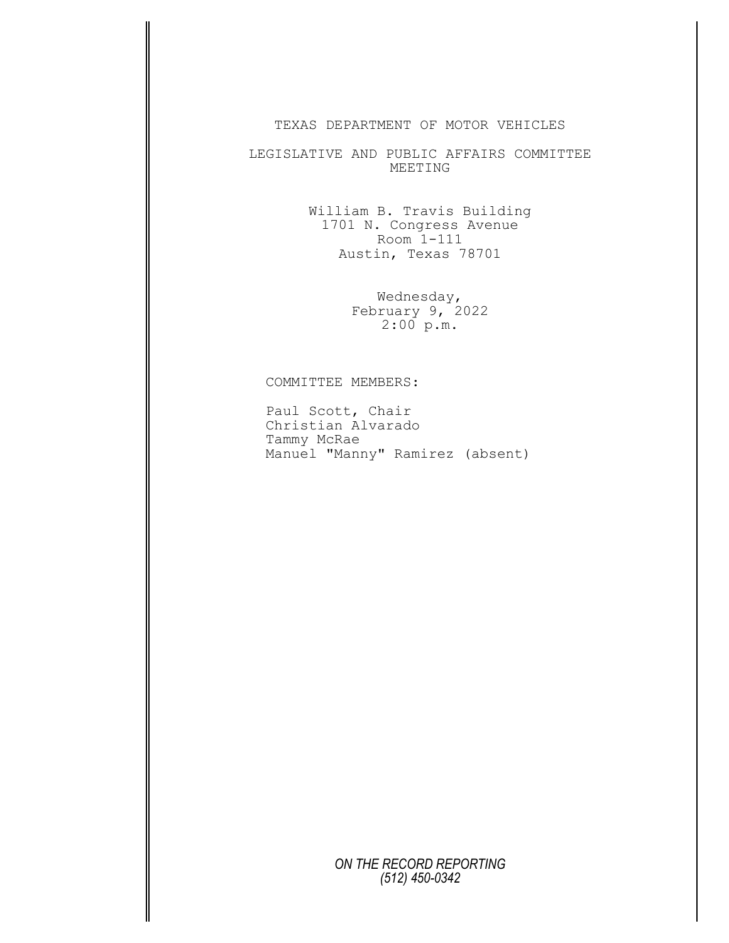## TEXAS DEPARTMENT OF MOTOR VEHICLES

LEGISLATIVE AND PUBLIC AFFAIRS COMMITTEE MEETING

> William B. Travis Building 1701 N. Congress Avenue Room 1-111 Austin, Texas 78701

> > Wednesday, February 9, 2022 2:00 p.m.

## COMMITTEE MEMBERS:

Paul Scott, Chair Christian Alvarado Tammy McRae Manuel "Manny" Ramirez (absent)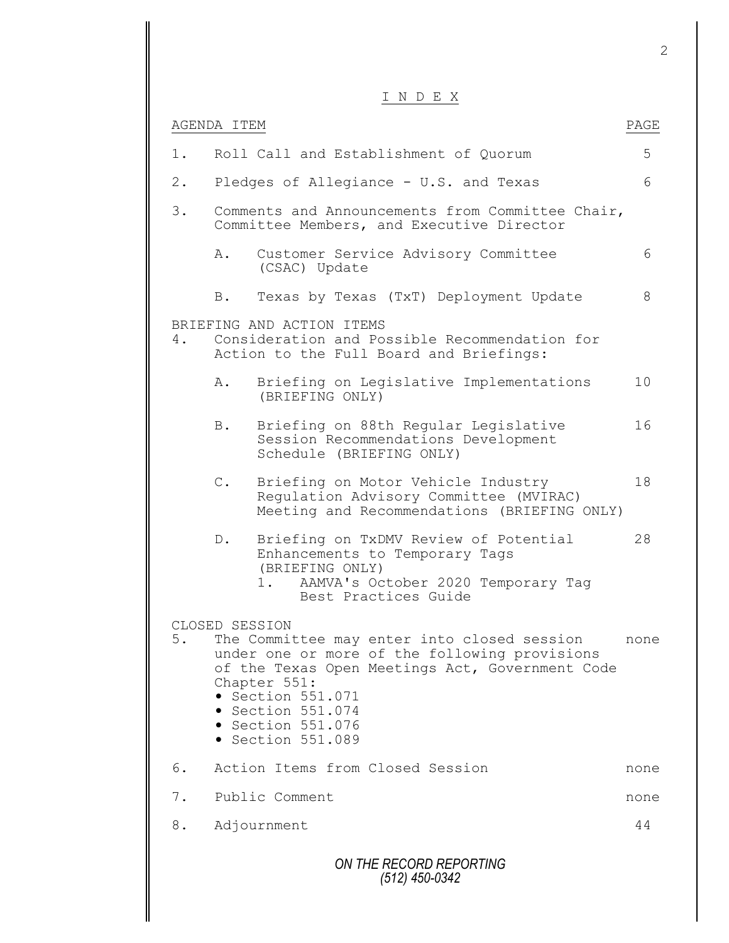|       |                | INDEX                                                                                                                                                                                                                                                                       |      |
|-------|----------------|-----------------------------------------------------------------------------------------------------------------------------------------------------------------------------------------------------------------------------------------------------------------------------|------|
|       | AGENDA ITEM    |                                                                                                                                                                                                                                                                             | PAGE |
| $1$ . |                | Roll Call and Establishment of Quorum                                                                                                                                                                                                                                       | 5    |
| $2$ . |                | Pledges of Allegiance - U.S. and Texas                                                                                                                                                                                                                                      | 6    |
| 3.    |                | Comments and Announcements from Committee Chair,<br>Committee Members, and Executive Director                                                                                                                                                                               |      |
|       | Α.             | Customer Service Advisory Committee<br>(CSAC) Update                                                                                                                                                                                                                        | 6    |
|       | B.             | Texas by Texas (TxT) Deployment Update                                                                                                                                                                                                                                      | 8    |
| 4.    |                | BRIEFING AND ACTION ITEMS<br>Consideration and Possible Recommendation for<br>Action to the Full Board and Briefings:                                                                                                                                                       |      |
|       | Α.             | Briefing on Legislative Implementations<br>(BRIEFING ONLY)                                                                                                                                                                                                                  | 10   |
|       | B.             | Briefing on 88th Regular Legislative<br>Session Recommendations Development<br>Schedule (BRIEFING ONLY)                                                                                                                                                                     | 16   |
|       | $\mathbb{C}$ . | Briefing on Motor Vehicle Industry<br>Regulation Advisory Committee (MVIRAC)<br>Meeting and Recommendations (BRIEFING ONLY)                                                                                                                                                 | 18   |
|       | $D$ .          | Briefing on TxDMV Review of Potential<br>Enhancements to Temporary Tags<br>(BRIEFING ONLY)<br>1. AAMVA's October 2020 Temporary Tag<br>Best Practices Guide                                                                                                                 | 28   |
| 5.    | CLOSED SESSION | The Committee may enter into closed session<br>under one or more of the following provisions<br>of the Texas Open Meetings Act, Government Code<br>Chapter 551:<br>• Section 551.071<br>$\bullet$ Section 551.074<br>$\bullet$ Section 551.076<br>$\bullet$ Section 551.089 | none |
| 6.    |                | Action Items from Closed Session                                                                                                                                                                                                                                            | none |
| 7.    |                | Public Comment                                                                                                                                                                                                                                                              | none |
| 8.    |                | Adjournment                                                                                                                                                                                                                                                                 | 44   |
|       |                | ON THE RECORD REPORTING                                                                                                                                                                                                                                                     |      |

*(512) 450-0342*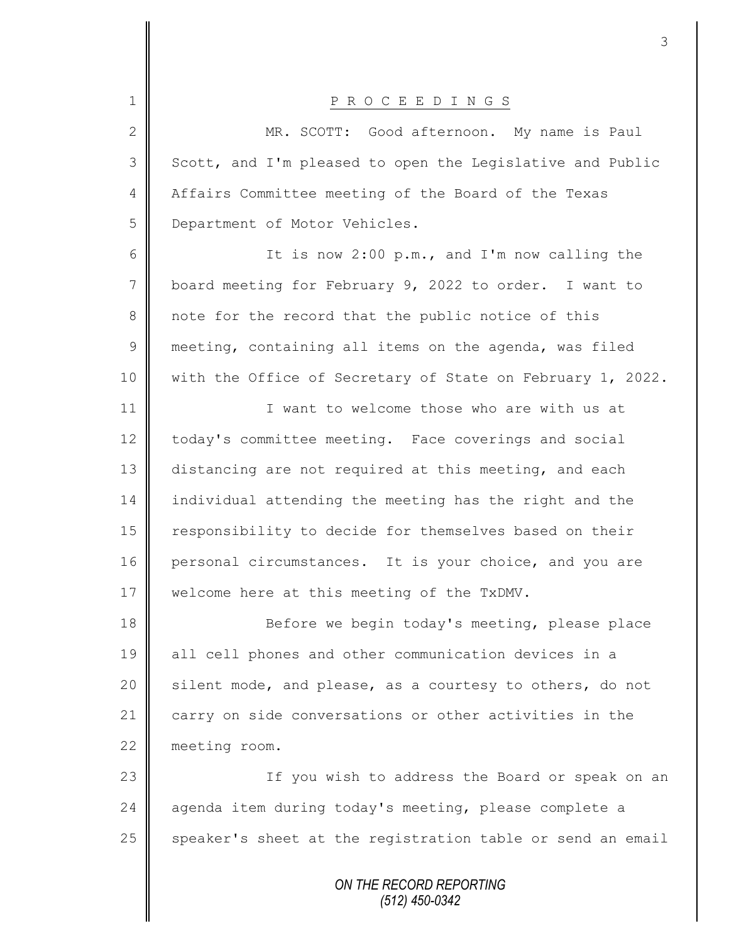| $\mathbf 1$    | P R O C E E D I N G S                                      |
|----------------|------------------------------------------------------------|
| $\overline{2}$ | MR. SCOTT: Good afternoon. My name is Paul                 |
| 3              | Scott, and I'm pleased to open the Legislative and Public  |
| $\overline{4}$ | Affairs Committee meeting of the Board of the Texas        |
| 5              | Department of Motor Vehicles.                              |
| 6              | It is now 2:00 p.m., and I'm now calling the               |
| 7              | board meeting for February 9, 2022 to order. I want to     |
| 8              | note for the record that the public notice of this         |
| $\mathsf 9$    | meeting, containing all items on the agenda, was filed     |
| 10             | with the Office of Secretary of State on February 1, 2022. |
| 11             | I want to welcome those who are with us at                 |
| 12             | today's committee meeting. Face coverings and social       |
| 13             | distancing are not required at this meeting, and each      |
| 14             | individual attending the meeting has the right and the     |
| 15             | responsibility to decide for themselves based on their     |
| 16             | personal circumstances. It is your choice, and you are     |
| 17             | welcome here at this meeting of the TxDMV.                 |
| 18             | Before we begin today's meeting, please place              |
| 19             | all cell phones and other communication devices in a       |
| 20             | silent mode, and please, as a courtesy to others, do not   |
| 21             | carry on side conversations or other activities in the     |
| 22             | meeting room.                                              |
| 23             | If you wish to address the Board or speak on an            |
| 24             | agenda item during today's meeting, please complete a      |
| 25             | speaker's sheet at the registration table or send an email |
|                | ON THE RECORD REPORTING                                    |

 $\mathsf{I}$ 

 $\mathbf \mathsf I$ 

*(512) 450-0342*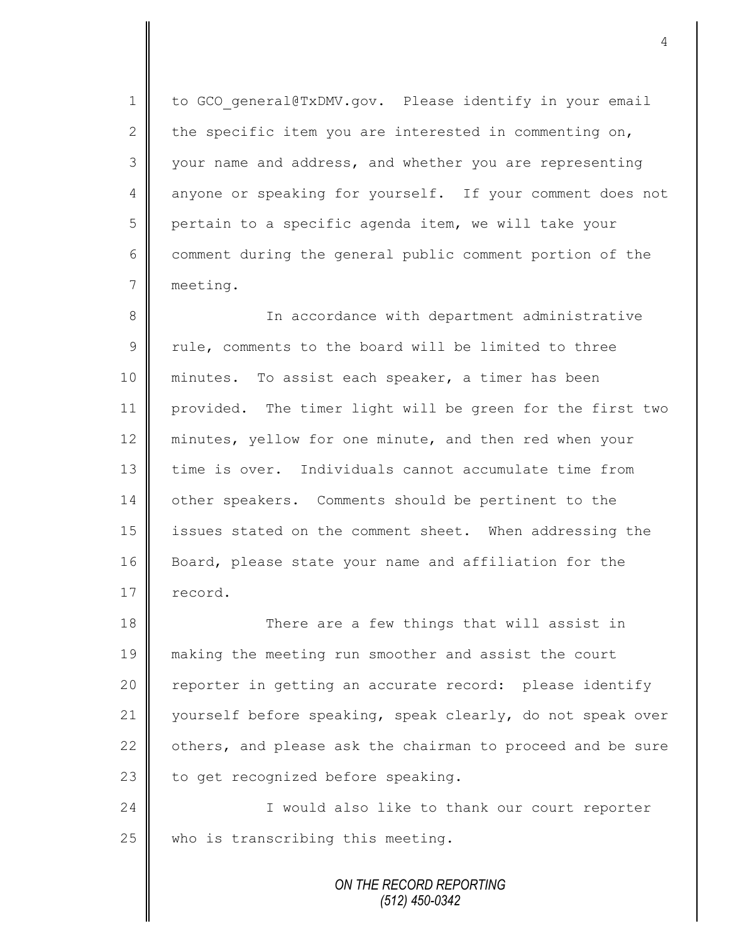1 to GCO general@TxDMV.gov. Please identify in your email 2 the specific item you are interested in commenting on, 3 your name and address, and whether you are representing 4 anyone or speaking for yourself. If your comment does not  $5 \parallel$  pertain to a specific agenda item, we will take your  $6 \parallel$  comment during the general public comment portion of the 7 meeting.

8 || In accordance with department administrative  $9 \parallel$  rule, comments to the board will be limited to three 10 || minutes. To assist each speaker, a timer has been 11 provided. The timer light will be green for the first two 12 minutes, yellow for one minute, and then red when your 13 time is over. Individuals cannot accumulate time from 14 other speakers. Comments should be pertinent to the 15 | issues stated on the comment sheet. When addressing the 16 Board, please state your name and affiliation for the 17 record.

18 There are a few things that will assist in 19 making the meeting run smoother and assist the court 20 || reporter in getting an accurate record: please identify 21 yourself before speaking, speak clearly, do not speak over 22 others, and please ask the chairman to proceed and be sure 23  $\parallel$  to get recognized before speaking.

24 || I would also like to thank our court reporter  $25$  who is transcribing this meeting.

> *ON THE RECORD REPORTING (512) 450-0342*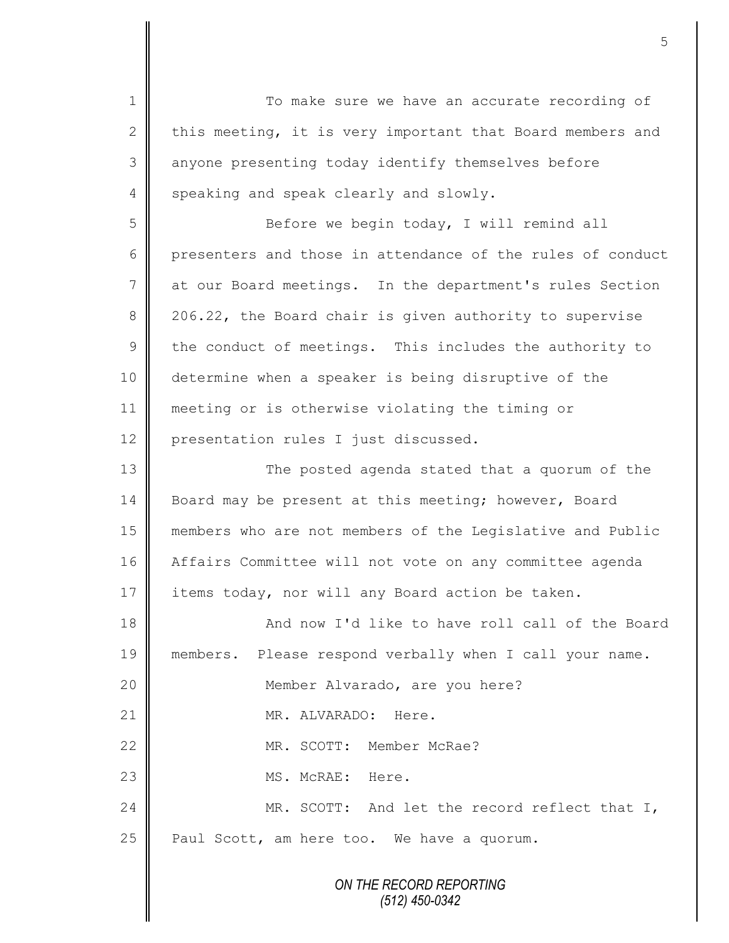*ON THE RECORD REPORTING (512) 450-0342* 1 To make sure we have an accurate recording of 2 this meeting, it is very important that Board members and 3 anyone presenting today identify themselves before 4 speaking and speak clearly and slowly. 5 Before we begin today, I will remind all 6 || presenters and those in attendance of the rules of conduct 7 at our Board meetings. In the department's rules Section 8 206.22, the Board chair is given authority to supervise  $9 \parallel$  the conduct of meetings. This includes the authority to 10 determine when a speaker is being disruptive of the 11 meeting or is otherwise violating the timing or 12 presentation rules I just discussed. 13 || The posted agenda stated that a quorum of the 14 Board may be present at this meeting; however, Board 15 members who are not members of the Legislative and Public 16 | Affairs Committee will not vote on any committee agenda 17 items today, nor will any Board action be taken. 18 || And now I'd like to have roll call of the Board 19 members. Please respond verbally when I call your name. 20 || Member Alvarado, are you here? 21 | MR. ALVARADO: Here. 22 WR. SCOTT: Member McRae? 23  $\parallel$  MS. McRAE: Here. 24 MR. SCOTT: And let the record reflect that I,  $25$  | Paul Scott, am here too. We have a quorum.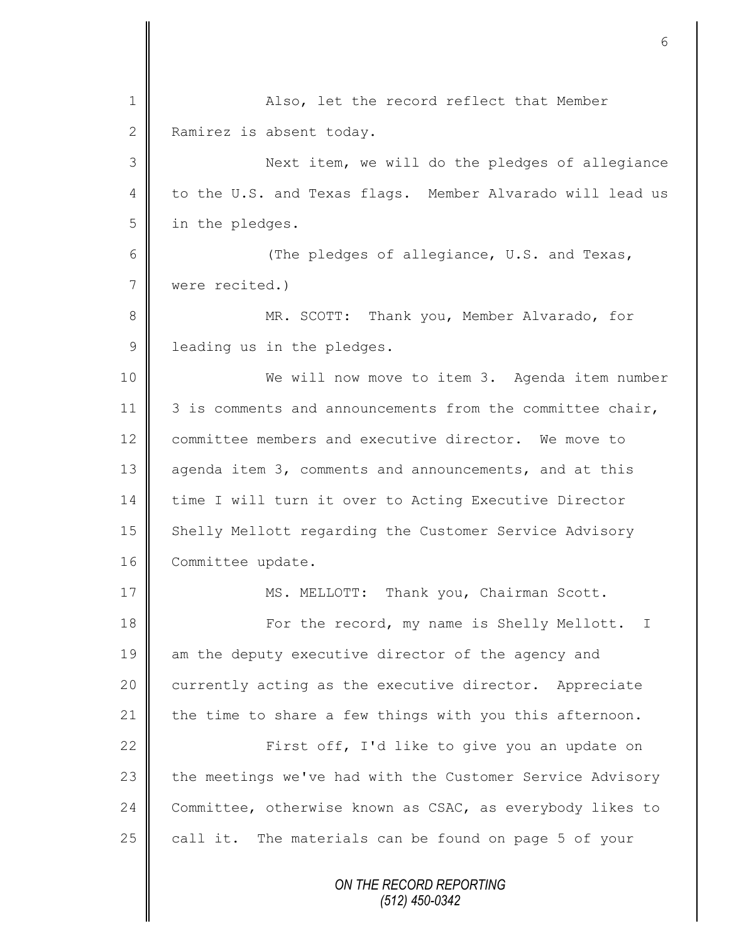| $\mathbf 1$  | Also, let the record reflect that Member                  |
|--------------|-----------------------------------------------------------|
| $\mathbf{2}$ | Ramirez is absent today.                                  |
| 3            | Next item, we will do the pledges of allegiance           |
| 4            | to the U.S. and Texas flags. Member Alvarado will lead us |
| 5            | in the pledges.                                           |
| 6            | (The pledges of allegiance, U.S. and Texas,               |
| 7            | were recited.)                                            |
| 8            | MR. SCOTT: Thank you, Member Alvarado, for                |
| $\mathsf 9$  | leading us in the pledges.                                |
| 10           | We will now move to item 3. Agenda item number            |
| 11           | 3 is comments and announcements from the committee chair, |
| 12           | committee members and executive director. We move to      |
| 13           | agenda item 3, comments and announcements, and at this    |
| 14           | time I will turn it over to Acting Executive Director     |
| 15           | Shelly Mellott regarding the Customer Service Advisory    |
| 16           | Committee update.                                         |
| 17           | MS. MELLOTT: Thank you, Chairman Scott.                   |
| 18           | For the record, my name is Shelly Mellott. I              |
| 19           | am the deputy executive director of the agency and        |
| 20           | currently acting as the executive director. Appreciate    |
| 21           | the time to share a few things with you this afternoon.   |
| 22           | First off, I'd like to give you an update on              |
| 23           | the meetings we've had with the Customer Service Advisory |
| 24           | Committee, otherwise known as CSAC, as everybody likes to |
| 25           | call it. The materials can be found on page 5 of your     |
|              | ON THE RECORD REPORTING                                   |

Ι Ш

*(512) 450-0342*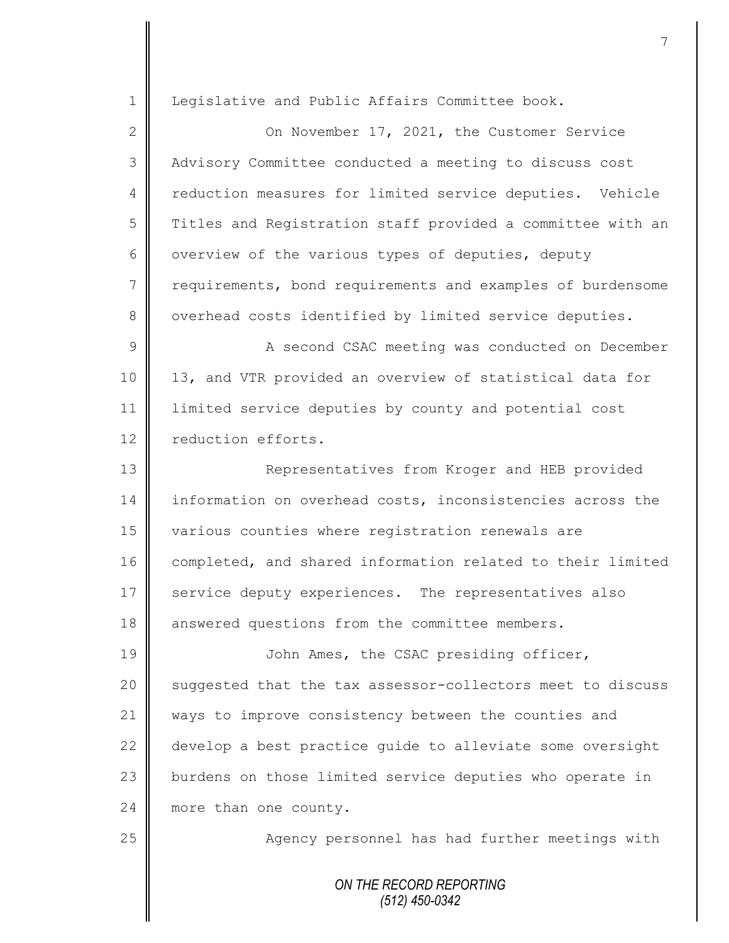| $\mathbf 1$    | Legislative and Public Affairs Committee book.             |
|----------------|------------------------------------------------------------|
| $\mathbf{2}$   | On November 17, 2021, the Customer Service                 |
| 3              | Advisory Committee conducted a meeting to discuss cost     |
|                |                                                            |
| $\overline{4}$ | reduction measures for limited service deputies. Vehicle   |
| 5              | Titles and Registration staff provided a committee with an |
| 6              | overview of the various types of deputies, deputy          |
| $\overline{7}$ | requirements, bond requirements and examples of burdensome |
| 8              | overhead costs identified by limited service deputies.     |
| $\mathcal{G}$  | A second CSAC meeting was conducted on December            |
| 10             | 13, and VTR provided an overview of statistical data for   |
| 11             | limited service deputies by county and potential cost      |
| 12             | reduction efforts.                                         |
| 13             | Representatives from Kroger and HEB provided               |
| 14             | information on overhead costs, inconsistencies across the  |
| 15             | various counties where registration renewals are           |
| 16             | completed, and shared information related to their limited |
| 17             | service deputy experiences. The representatives also       |
| 18             | answered questions from the committee members.             |
| 19             | John Ames, the CSAC presiding officer,                     |
| 20             | suggested that the tax assessor-collectors meet to discuss |
| 21             | ways to improve consistency between the counties and       |
| 22             | develop a best practice quide to alleviate some oversight  |
| 23             | burdens on those limited service deputies who operate in   |
| 24             | more than one county.                                      |
| 25             | Agency personnel has had further meetings with             |
|                | ON THE RECORD REPORTING<br>$(512)$ 450-0342                |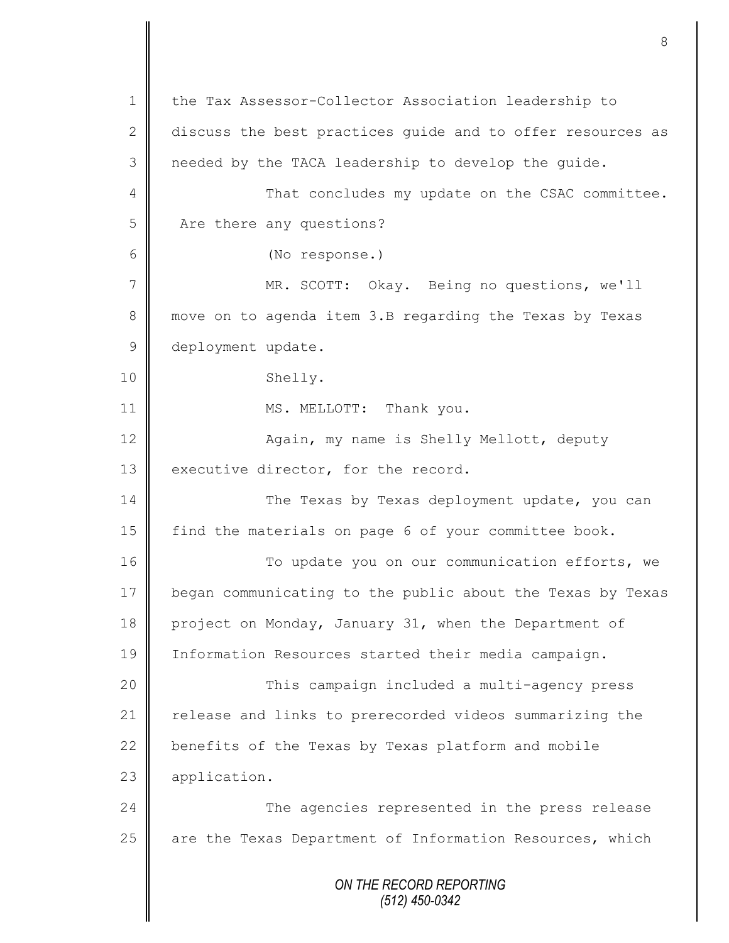*ON THE RECORD REPORTING (512) 450-0342* 1 the Tax Assessor-Collector Association leadership to 2 discuss the best practices quide and to offer resources as 3 | needed by the TACA leadership to develop the guide. 4 || That concludes my update on the CSAC committee. 5 Are there any questions? 6 (No response.) 7 MR. SCOTT: Okay. Being no questions, we'll 8 move on to agenda item 3.B regarding the Texas by Texas 9 deployment update. 10 Shelly. 11 | MS. MELLOTT: Thank you. 12 | Again, my name is Shelly Mellott, deputy 13 executive director, for the record. 14 The Texas by Texas deployment update, you can 15 find the materials on page 6 of your committee book. 16 To update you on our communication efforts, we 17 began communicating to the public about the Texas by Texas 18 project on Monday, January 31, when the Department of 19 Information Resources started their media campaign. 20 | This campaign included a multi-agency press 21 | release and links to prerecorded videos summarizing the 22  $\parallel$  benefits of the Texas by Texas platform and mobile 23 **application.** 24 **The agencies represented in the press release**  $25$  are the Texas Department of Information Resources, which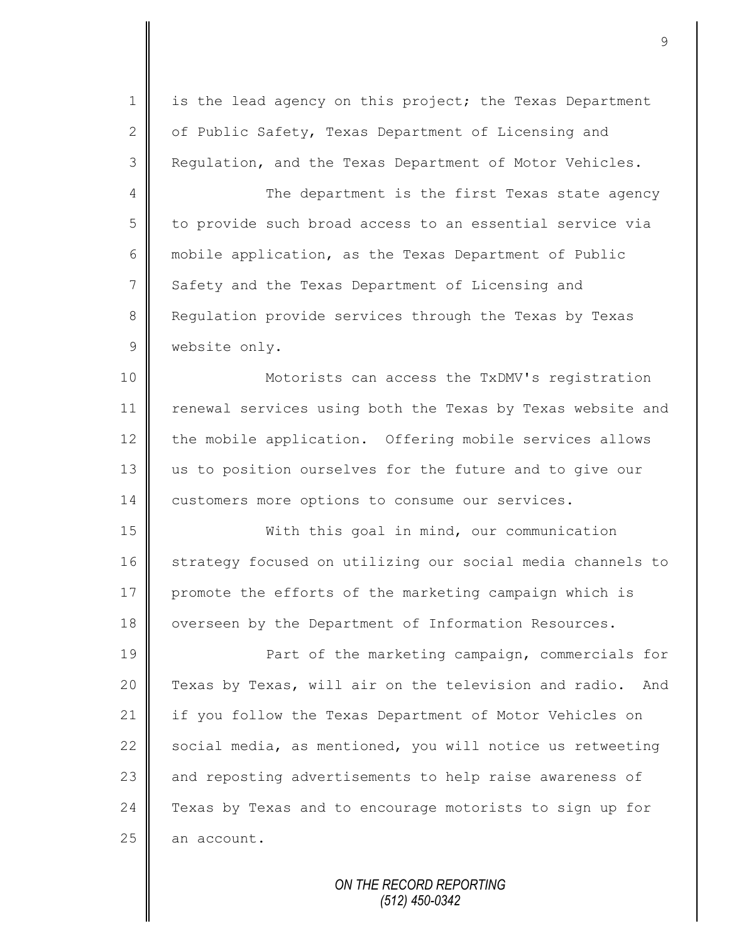1 is the lead agency on this project; the Texas Department 2  $\parallel$  of Public Safety, Texas Department of Licensing and 3 Regulation, and the Texas Department of Motor Vehicles.

4 The department is the first Texas state agency 5 to provide such broad access to an essential service via 6 | mobile application, as the Texas Department of Public 7 Safety and the Texas Department of Licensing and 8 Requiation provide services through the Texas by Texas 9 | website only.

10 || Motorists can access the TxDMV's registration 11 | renewal services using both the Texas by Texas website and 12 the mobile application. Offering mobile services allows 13 us to position ourselves for the future and to give our 14 customers more options to consume our services.

15 With this goal in mind, our communication 16 strategy focused on utilizing our social media channels to 17 promote the efforts of the marketing campaign which is 18 | overseen by the Department of Information Resources.

19 **Part of the marketing campaign, commercials for** 20 Texas by Texas, will air on the television and radio. And 21 if you follow the Texas Department of Motor Vehicles on 22  $\parallel$  social media, as mentioned, you will notice us retweeting 23 and reposting advertisements to help raise awareness of 24 | Texas by Texas and to encourage motorists to sign up for  $25$  an account.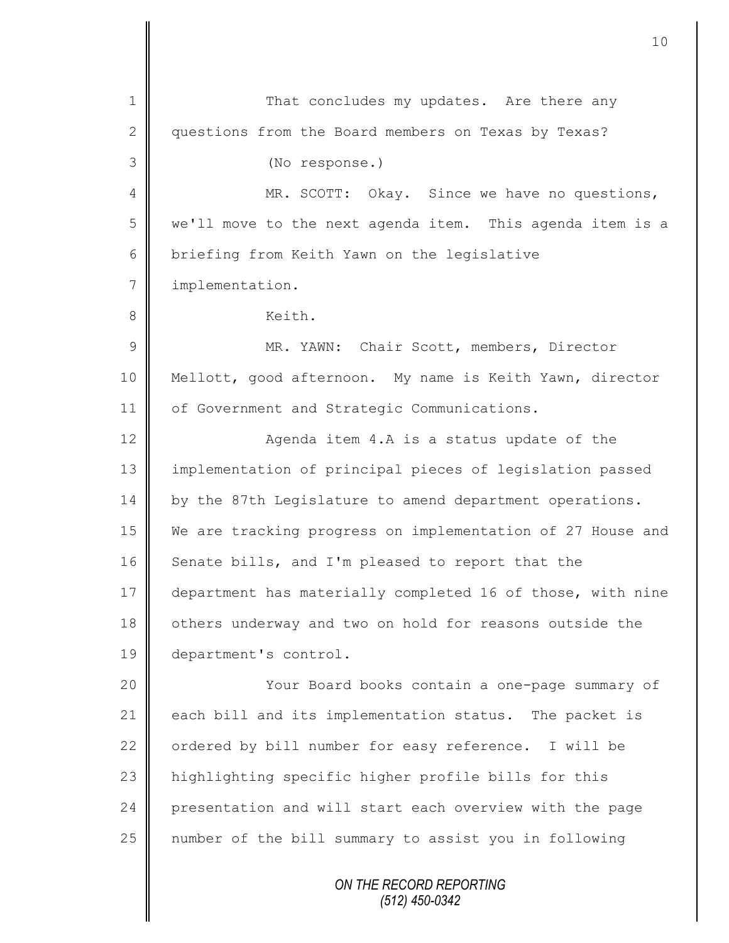*ON THE RECORD REPORTING* 1 That concludes my updates. Are there any 2 | questions from the Board members on Texas by Texas? 3 (No response.) 4 MR. SCOTT: Okay. Since we have no questions, 5 we'll move to the next agenda item. This agenda item is a 6 briefing from Keith Yawn on the legislative 7 | implementation. 8 | Keith. 9 || MR. YAWN: Chair Scott, members, Director 10 Mellott, good afternoon. My name is Keith Yawn, director 11 of Government and Strategic Communications. 12 ||<br>
Agenda item 4.A is a status update of the 13 implementation of principal pieces of legislation passed 14 by the 87th Legislature to amend department operations. 15 We are tracking progress on implementation of 27 House and  $16$  Senate bills, and I'm pleased to report that the 17 department has materially completed 16 of those, with nine 18 others underway and two on hold for reasons outside the 19 department's control. 20 | Your Board books contain a one-page summary of 21 each bill and its implementation status. The packet is 22  $\parallel$  ordered by bill number for easy reference. I will be 23 highlighting specific higher profile bills for this 24 presentation and will start each overview with the page 25 number of the bill summary to assist you in following

*(512) 450-0342*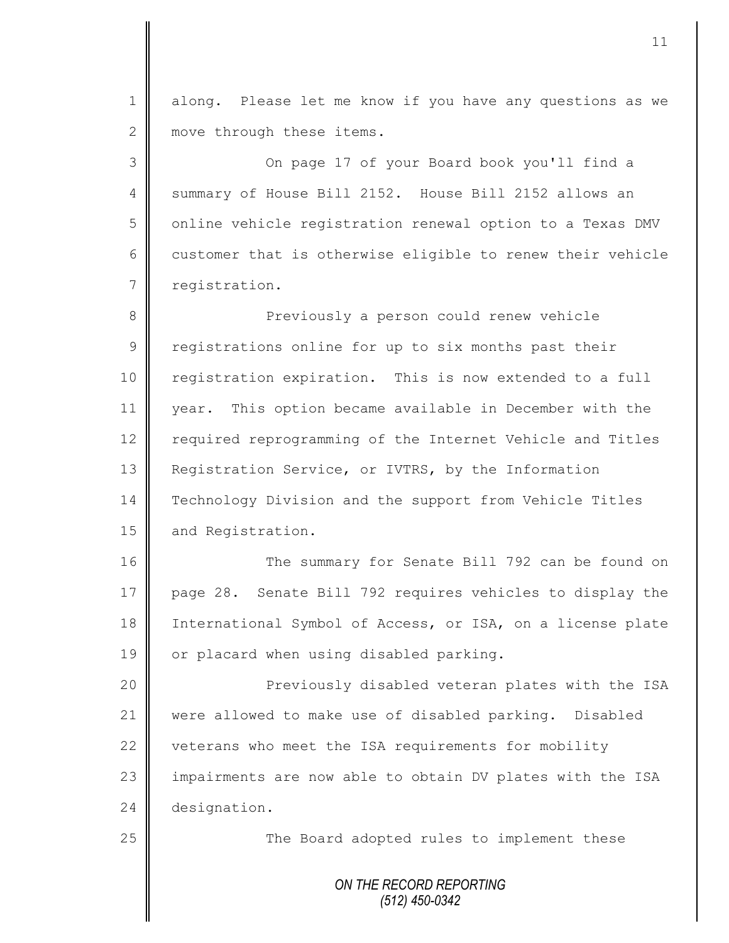1 || along. Please let me know if you have any questions as we 2 move through these items.

3 On page 17 of your Board book you'll find a 4 Summary of House Bill 2152. House Bill 2152 allows an 5 | online vehicle registration renewal option to a Texas DMV 6 customer that is otherwise eligible to renew their vehicle 7 registration.

8 Previously a person could renew vehicle 9 | registrations online for up to six months past their 10 | registration expiration. This is now extended to a full 11 year. This option became available in December with the 12 | required reprogramming of the Internet Vehicle and Titles 13 **Registration Service, or IVTRS, by the Information** 14 Technology Division and the support from Vehicle Titles 15 and Registration.

16 The summary for Senate Bill 792 can be found on 17 page 28. Senate Bill 792 requires vehicles to display the 18 International Symbol of Access, or ISA, on a license plate 19 | or placard when using disabled parking.

20 | Previously disabled veteran plates with the ISA 21 were allowed to make use of disabled parking. Disabled 22 veterans who meet the ISA requirements for mobility 23 | impairments are now able to obtain DV plates with the ISA 24 designation.

25 || The Board adopted rules to implement these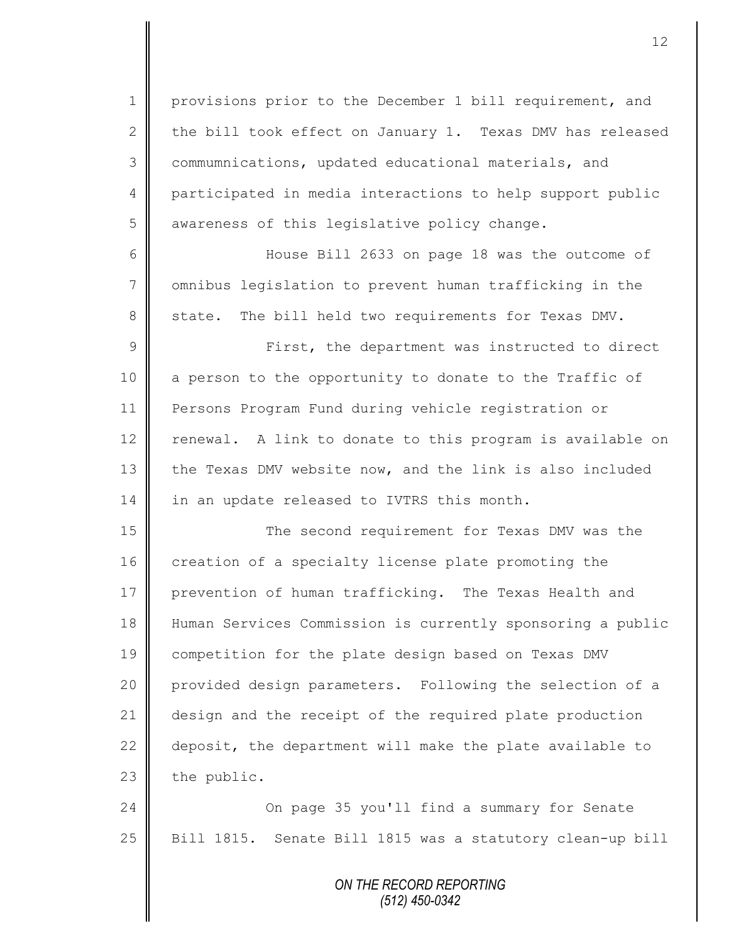1 | provisions prior to the December 1 bill requirement, and 2 the bill took effect on January 1. Texas DMV has released 3 commumnications, updated educational materials, and 4 participated in media interactions to help support public 5 awareness of this legislative policy change.

6 House Bill 2633 on page 18 was the outcome of 7 | omnibus legislation to prevent human trafficking in the 8 state. The bill held two requirements for Texas DMV.

9 || First, the department was instructed to direct 10 | a person to the opportunity to donate to the Traffic of 11 Persons Program Fund during vehicle registration or 12 renewal. A link to donate to this program is available on 13 the Texas DMV website now, and the link is also included 14 in an update released to IVTRS this month.

15 || The second requirement for Texas DMV was the 16 creation of a specialty license plate promoting the 17 prevention of human trafficking. The Texas Health and 18 Human Services Commission is currently sponsoring a public 19 competition for the plate design based on Texas DMV 20 provided design parameters. Following the selection of a 21 design and the receipt of the required plate production 22  $\parallel$  deposit, the department will make the plate available to  $23$  the public.

24 On page 35 you'll find a summary for Senate 25 | Bill 1815. Senate Bill 1815 was a statutory clean-up bill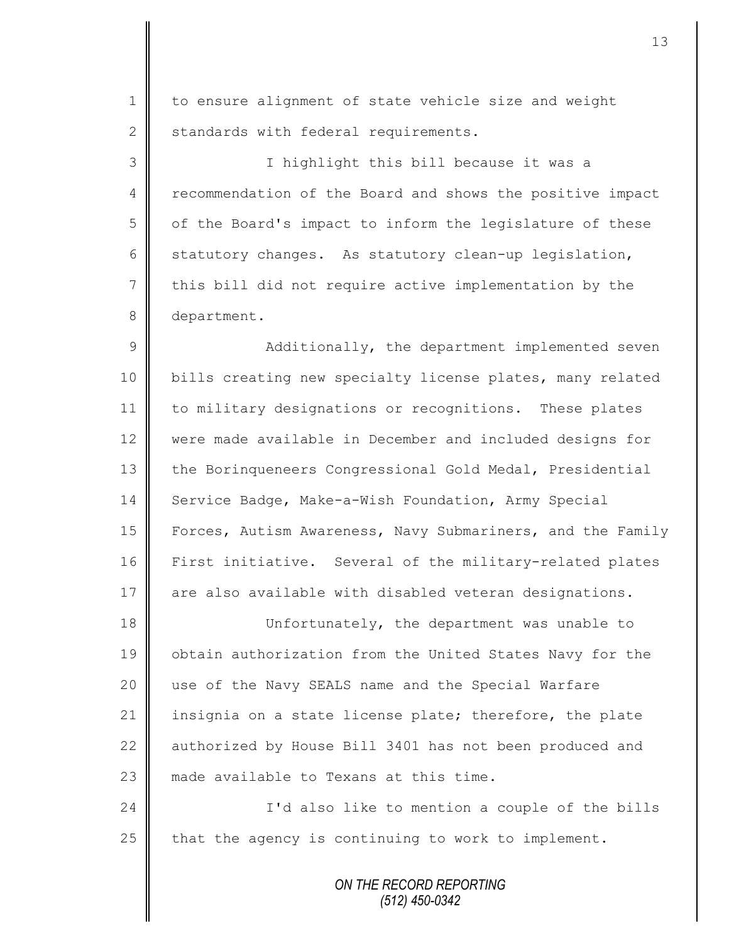1 | to ensure alignment of state vehicle size and weight 2 standards with federal requirements.

3 I highlight this bill because it was a 4 recommendation of the Board and shows the positive impact  $5 \parallel$  of the Board's impact to inform the legislature of these 6 statutory changes. As statutory clean-up legislation,  $7 \parallel$  this bill did not require active implementation by the 8 department.

9 || Additionally, the department implemented seven 10 | bills creating new specialty license plates, many related 11 to military designations or recognitions. These plates 12 were made available in December and included designs for 13 the Borinqueneers Congressional Gold Medal, Presidential 14 Service Badge, Make-a-Wish Foundation, Army Special 15 | Forces, Autism Awareness, Navy Submariners, and the Family 16 | First initiative. Several of the military-related plates 17 are also available with disabled veteran designations.

18 Unfortunately, the department was unable to 19 | obtain authorization from the United States Navy for the 20 use of the Navy SEALS name and the Special Warfare 21 insignia on a state license plate; therefore, the plate 22 authorized by House Bill 3401 has not been produced and 23 **m** made available to Texans at this time.

24 | Carolic also like to mention a couple of the bills  $25$  | that the agency is continuing to work to implement.

> *ON THE RECORD REPORTING (512) 450-0342*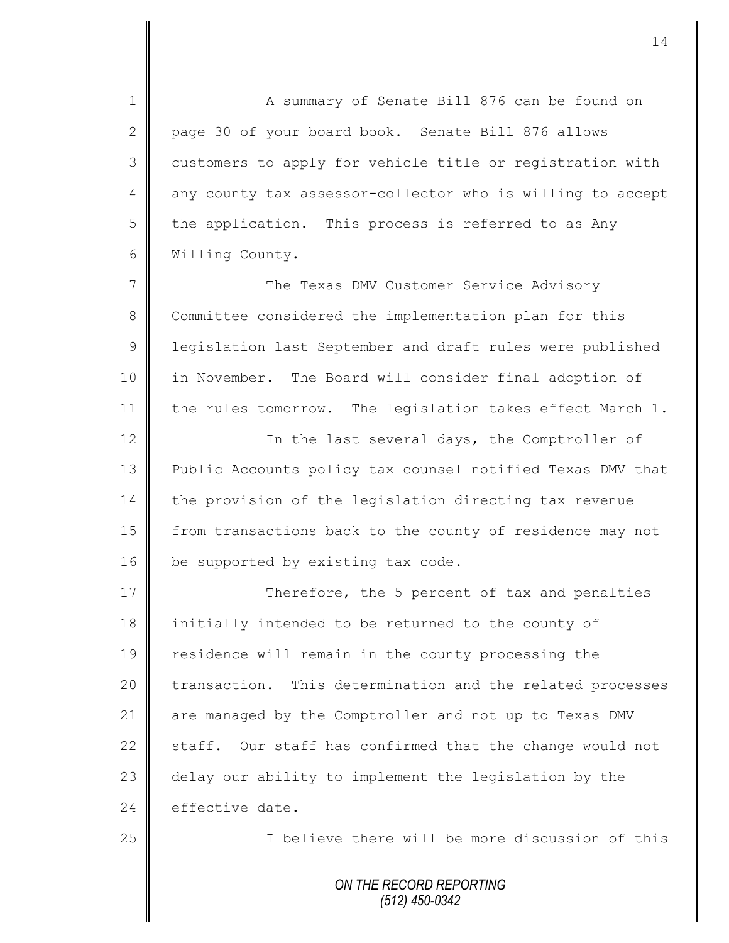1 A summary of Senate Bill 876 can be found on 2 page 30 of your board book. Senate Bill 876 allows 3 customers to apply for vehicle title or registration with 4 any county tax assessor-collector who is willing to accept  $5 \parallel$  the application. This process is referred to as Any 6 Willing County. 7 The Texas DMV Customer Service Advisory

8 Committee considered the implementation plan for this 9 | legislation last September and draft rules were published 10 in November. The Board will consider final adoption of 11  $\parallel$  the rules tomorrow. The legislation takes effect March 1.

12 || In the last several days, the Comptroller of 13 | Public Accounts policy tax counsel notified Texas DMV that 14 the provision of the legislation directing tax revenue 15 from transactions back to the county of residence may not 16 be supported by existing tax code.

17 Therefore, the 5 percent of tax and penalties 18 initially intended to be returned to the county of 19 Tesidence will remain in the county processing the 20 transaction. This determination and the related processes 21 are managed by the Comptroller and not up to Texas DMV 22 staff. Our staff has confirmed that the change would not 23 delay our ability to implement the legislation by the 24 effective date.

25 | Thelieve there will be more discussion of this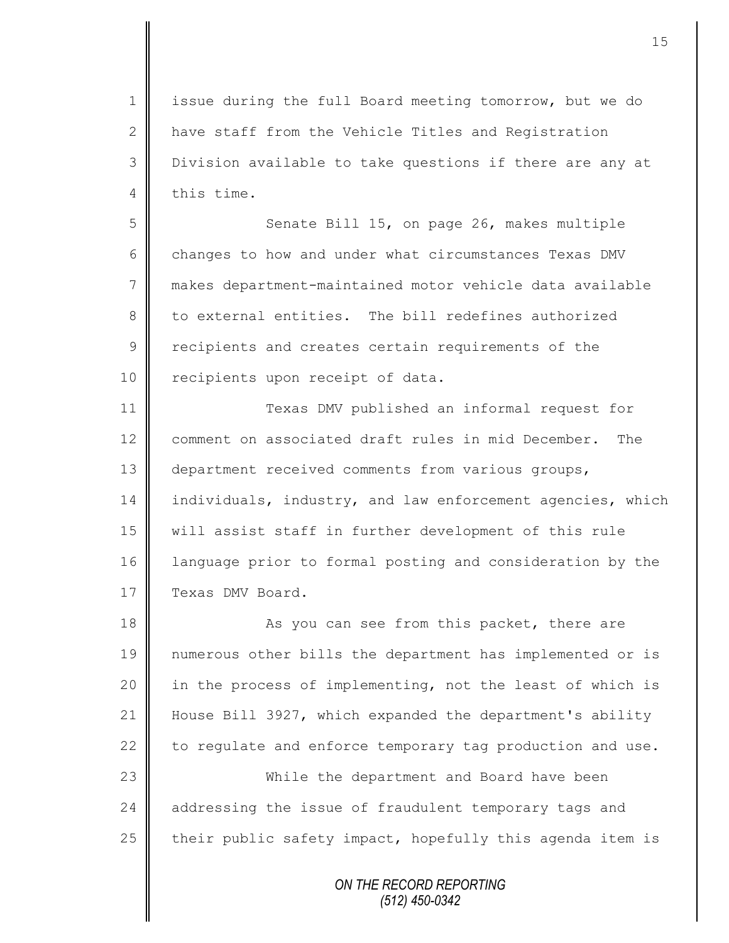1 | issue during the full Board meeting tomorrow, but we do 2 | have staff from the Vehicle Titles and Registration 3 Division available to take questions if there are any at 4 this time.

5 Senate Bill 15, on page 26, makes multiple 6 changes to how and under what circumstances Texas DMV 7 makes department-maintained motor vehicle data available 8 to external entities. The bill redefines authorized 9 cecipients and creates certain requirements of the 10 recipients upon receipt of data.

11 Texas DMV published an informal request for 12 comment on associated draft rules in mid December. The 13 department received comments from various groups, 14 individuals, industry, and law enforcement agencies, which 15 will assist staff in further development of this rule 16 language prior to formal posting and consideration by the 17 Texas DMV Board.

18 As you can see from this packet, there are numerous other bills the department has implemented or is 20 | in the process of implementing, not the least of which is House Bill 3927, which expanded the department's ability  $\parallel$  to requlate and enforce temporary tag production and use. While the department and Board have been 24 addressing the issue of fraudulent temporary tags and their public safety impact, hopefully this agenda item is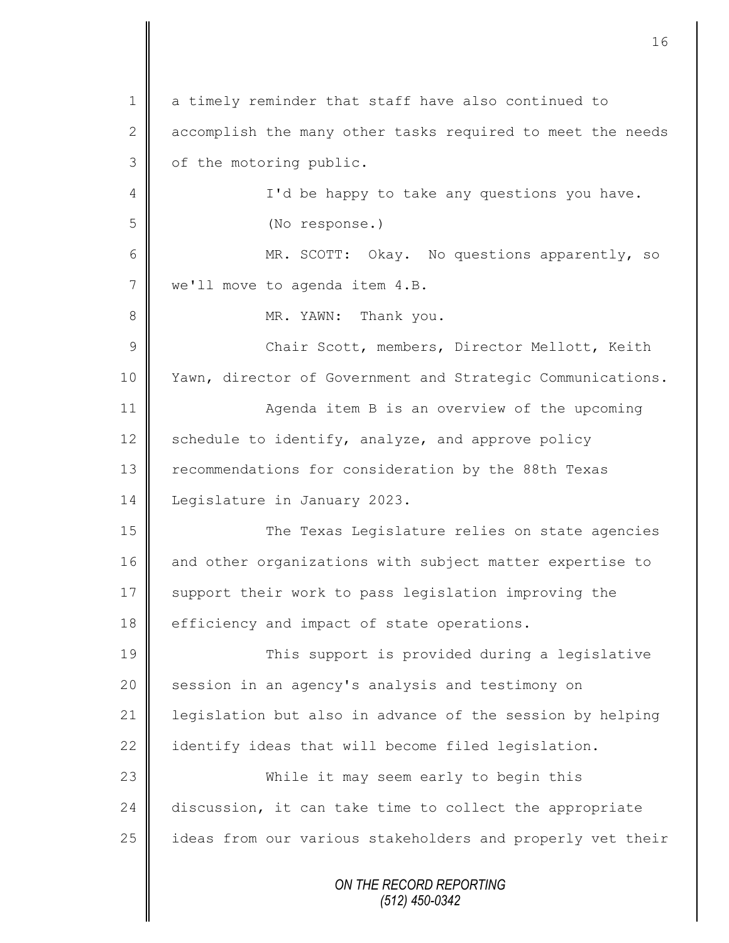*ON THE RECORD REPORTING* 1 a timely reminder that staff have also continued to 2 accomplish the many other tasks required to meet the needs  $3 \parallel$  of the motoring public. 4 || I'd be happy to take any questions you have. 5 (No response.) 6 || MR. SCOTT: Okay. No questions apparently, so 7 | we'll move to agenda item 4.B. 8 || MR. YAWN: Thank you. 9 || Chair Scott, members, Director Mellott, Keith 10 | Yawn, director of Government and Strategic Communications. 11 | Agenda item B is an overview of the upcoming 12 Schedule to identify, analyze, and approve policy 13 recommendations for consideration by the 88th Texas 14 | Legislature in January 2023. 15 || The Texas Legislature relies on state agencies 16 and other organizations with subject matter expertise to 17 Support their work to pass legislation improving the 18 efficiency and impact of state operations. 19 This support is provided during a legislative 20 session in an agency's analysis and testimony on 21 legislation but also in advance of the session by helping 22 didentify ideas that will become filed legislation. 23 While it may seem early to begin this 24 discussion, it can take time to collect the appropriate 25 | ideas from our various stakeholders and properly vet their

16

*(512) 450-0342*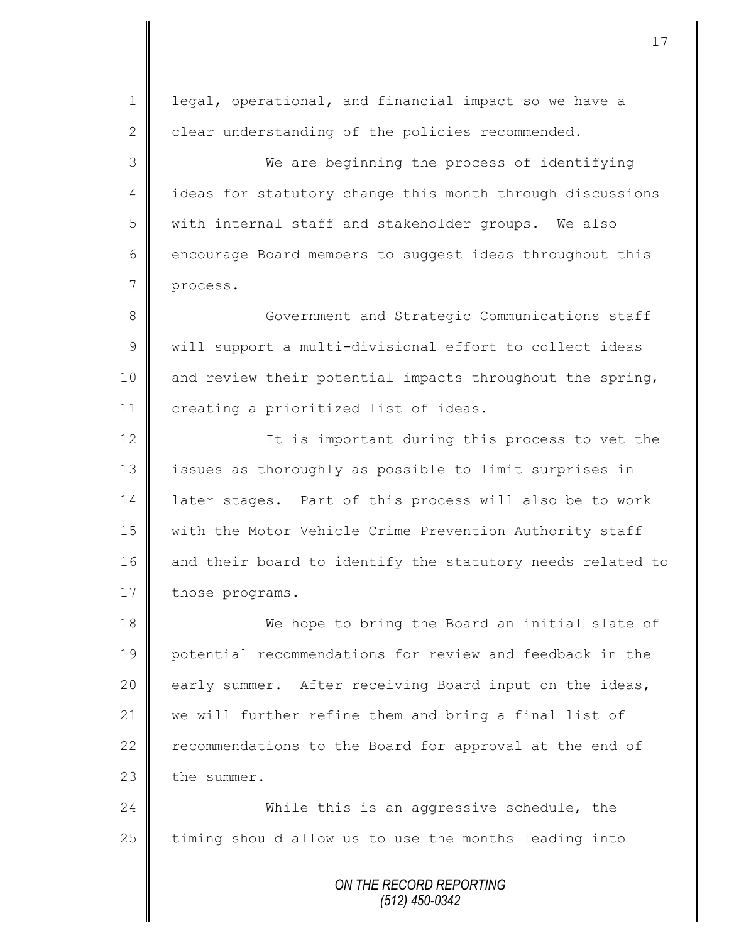*ON THE RECORD REPORTING* 1 | legal, operational, and financial impact so we have a  $2 \parallel$  clear understanding of the policies recommended. 3 We are beginning the process of identifying 4 ideas for statutory change this month through discussions 5 with internal staff and stakeholder groups. We also 6 encourage Board members to suggest ideas throughout this 7 process. 8 Government and Strategic Communications staff 9 | will support a multi-divisional effort to collect ideas 10 and review their potential impacts throughout the spring, 11 | creating a prioritized list of ideas. 12 | It is important during this process to vet the 13 | issues as thoroughly as possible to limit surprises in 14 | later stages. Part of this process will also be to work 15 | with the Motor Vehicle Crime Prevention Authority staff 16 and their board to identify the statutory needs related to 17 those programs. 18 We hope to bring the Board an initial slate of 19 potential recommendations for review and feedback in the 20 early summer. After receiving Board input on the ideas, 21 we will further refine them and bring a final list of 22  $\parallel$  recommendations to the Board for approval at the end of  $23$   $\blacksquare$  the summer. 24 While this is an aggressive schedule, the  $25$  timing should allow us to use the months leading into

*(512) 450-0342*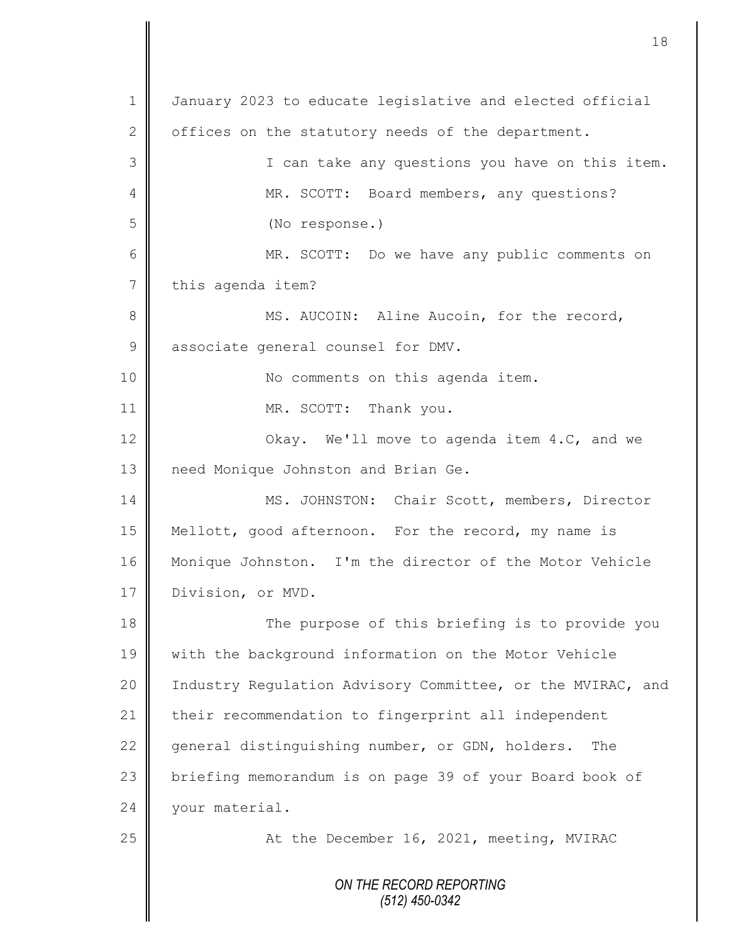*ON THE RECORD REPORTING (512) 450-0342* 1 January 2023 to educate legislative and elected official 2  $\parallel$  offices on the statutory needs of the department. 3 I can take any questions you have on this item. 4 MR. SCOTT: Board members, any questions? 5 (No response.) 6 MR. SCOTT: Do we have any public comments on 7 this agenda item? 8 || MS. AUCOIN: Aline Aucoin, for the record, 9 associate general counsel for DMV. 10 || No comments on this agenda item. 11 MR. SCOTT: Thank you. 12 **||** Okay. We'll move to agenda item 4.C, and we 13 | need Monique Johnston and Brian Ge. 14 | MS. JOHNSTON: Chair Scott, members, Director 15 Mellott, good afternoon. For the record, my name is 16 | Monique Johnston. I'm the director of the Motor Vehicle 17 Division, or MVD. 18 The purpose of this briefing is to provide you 19 with the background information on the Motor Vehicle 20 | Industry Regulation Advisory Committee, or the MVIRAC, and 21 their recommendation to fingerprint all independent 22  $\parallel$  general distinguishing number, or GDN, holders. The 23 briefing memorandum is on page 39 of your Board book of 24 vour material. 25 || At the December 16, 2021, meeting, MVIRAC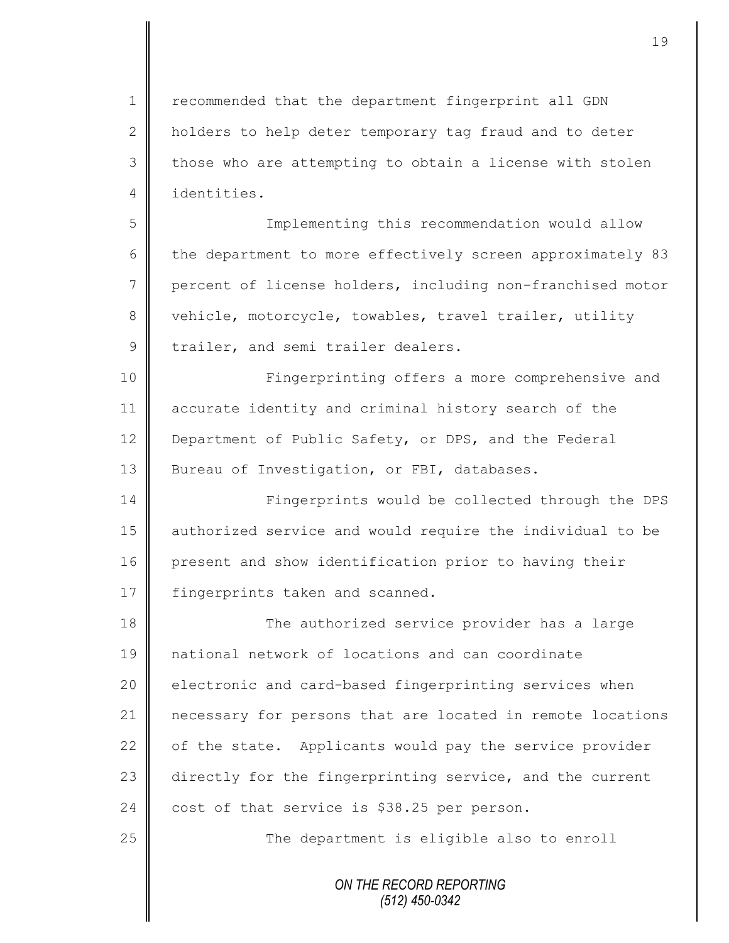1 | recommended that the department fingerprint all GDN 2 holders to help deter temporary tag fraud and to deter  $3 \parallel$  those who are attempting to obtain a license with stolen 4 identities.

5 Implementing this recommendation would allow 6 the department to more effectively screen approximately 83 7 percent of license holders, including non-franchised motor 8 vehicle, motorcycle, towables, travel trailer, utility 9 trailer, and semi trailer dealers.

10 || Fingerprinting offers a more comprehensive and 11 accurate identity and criminal history search of the 12 Department of Public Safety, or DPS, and the Federal 13 | Bureau of Investigation, or FBI, databases.

14 | Fingerprints would be collected through the DPS 15 authorized service and would require the individual to be 16 present and show identification prior to having their 17 | fingerprints taken and scanned.

18 The authorized service provider has a large 19 national network of locations and can coordinate 20 electronic and card-based fingerprinting services when 21 necessary for persons that are located in remote locations  $22$  of the state. Applicants would pay the service provider 23 directly for the fingerprinting service, and the current 24 cost of that service is \$38.25 per person.

25 | The department is eligible also to enroll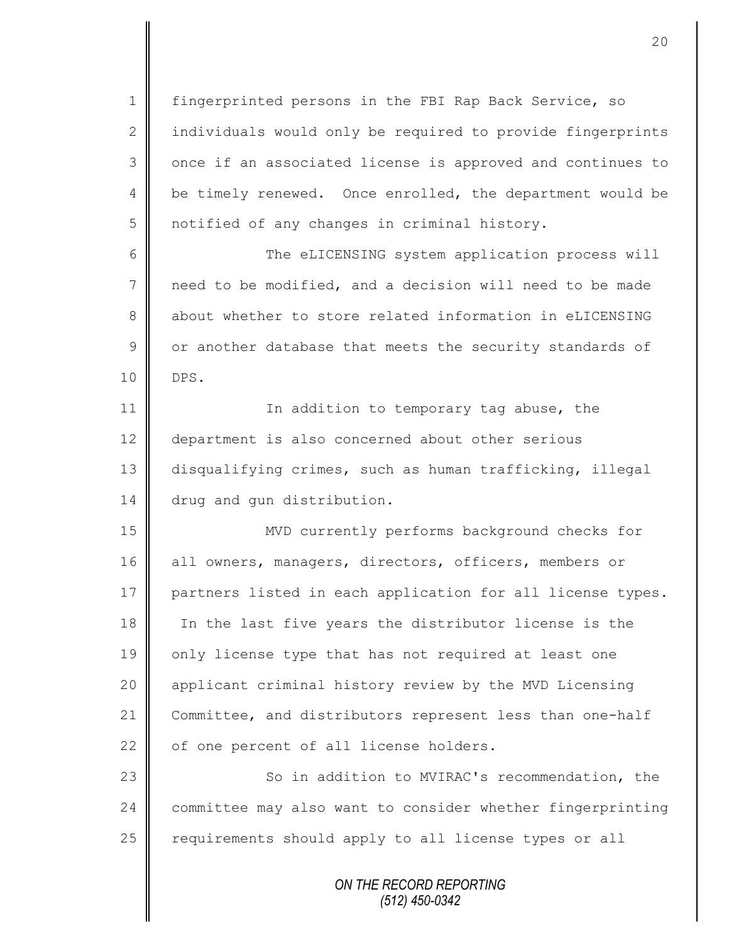1 | fingerprinted persons in the FBI Rap Back Service, so  $2 \parallel$  individuals would only be required to provide fingerprints 3 || once if an associated license is approved and continues to 4 | be timely renewed. Once enrolled, the department would be 5 | notified of any changes in criminal history.

6 The eLICENSING system application process will 7 need to be modified, and a decision will need to be made 8 about whether to store related information in eLICENSING  $9 \parallel$  or another database that meets the security standards of 10 DPS.

11 | In addition to temporary tag abuse, the 12 department is also concerned about other serious 13 disqualifying crimes, such as human trafficking, illegal 14 drug and gun distribution.

15 MVD currently performs background checks for 16 all owners, managers, directors, officers, members or 17 partners listed in each application for all license types. 18 In the last five years the distributor license is the 19 | only license type that has not required at least one 20 applicant criminal history review by the MVD Licensing 21 Committee, and distributors represent less than one-half  $22$  of one percent of all license holders.

23 || So in addition to MVIRAC's recommendation, the 24 committee may also want to consider whether fingerprinting 25 | requirements should apply to all license types or all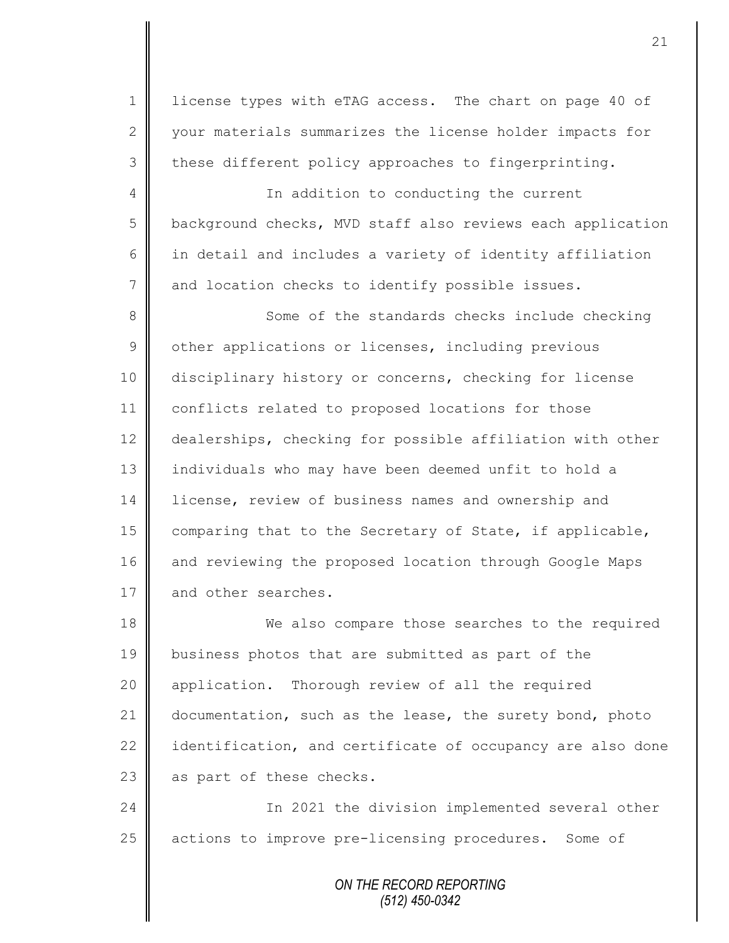1 | license types with eTAG access. The chart on page 40 of 2 | your materials summarizes the license holder impacts for 3 these different policy approaches to fingerprinting.

4 || In addition to conducting the current  $5 \parallel$  background checks, MVD staff also reviews each application  $6$  in detail and includes a variety of identity affiliation 7 and location checks to identify possible issues.

8 Some of the standards checks include checking 9 | other applications or licenses, including previous 10 disciplinary history or concerns, checking for license 11 conflicts related to proposed locations for those 12 dealerships, checking for possible affiliation with other 13 | individuals who may have been deemed unfit to hold a 14 license, review of business names and ownership and 15 | comparing that to the Secretary of State, if applicable, 16 and reviewing the proposed location through Google Maps 17 and other searches.

18 We also compare those searches to the required 19 business photos that are submitted as part of the 20 | application. Thorough review of all the required 21 documentation, such as the lease, the surety bond, photo 22  $\parallel$  identification, and certificate of occupancy are also done 23  $\parallel$  as part of these checks.

24 | Charlotter 1 and 2021 the division implemented several other 25 | actions to improve pre-licensing procedures. Some of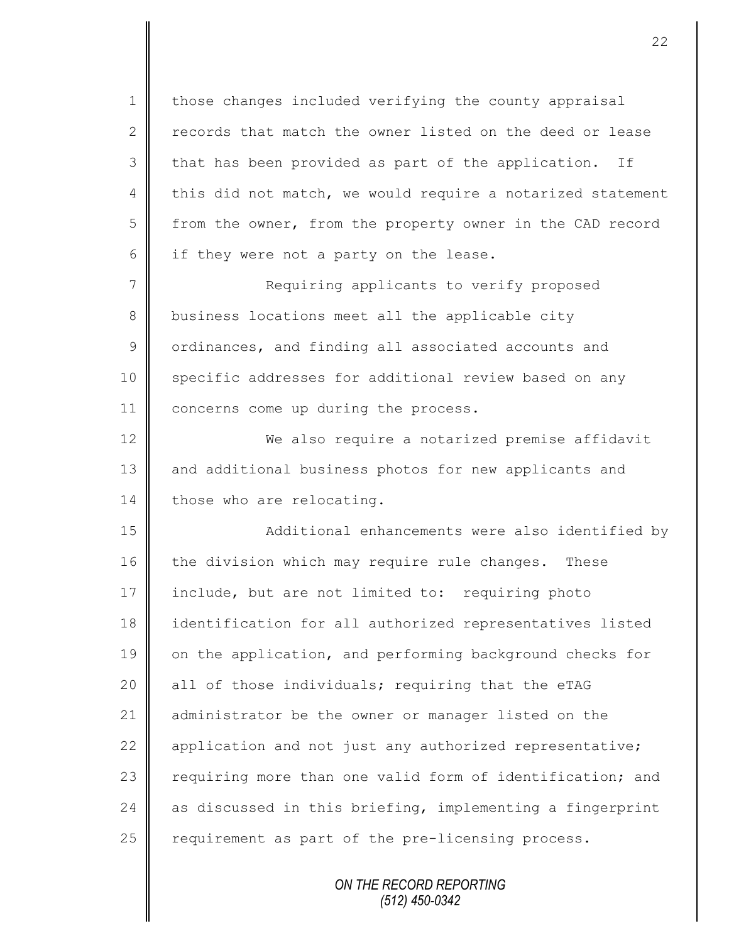1 those changes included verifying the county appraisal 2 records that match the owner listed on the deed or lease  $3 \parallel$  that has been provided as part of the application. If 4 this did not match, we would require a notarized statement 5 from the owner, from the property owner in the CAD record  $6$  if they were not a party on the lease.

7 || Requiring applicants to verify proposed 8 business locations meet all the applicable city 9 | ordinances, and finding all associated accounts and 10 Specific addresses for additional review based on any 11 | concerns come up during the process.

12 We also require a notarized premise affidavit 13 and additional business photos for new applicants and 14 those who are relocating.

15 Additional enhancements were also identified by 16 the division which may require rule changes. These 17 include, but are not limited to: requiring photo 18 identification for all authorized representatives listed 19 on the application, and performing background checks for  $20$  all of those individuals; requiring that the eTAG 21 administrator be the owner or manager listed on the 22  $\parallel$  application and not just any authorized representative; 23 | requiring more than one valid form of identification; and 24  $\parallel$  as discussed in this briefing, implementing a fingerprint  $25$  requirement as part of the pre-licensing process.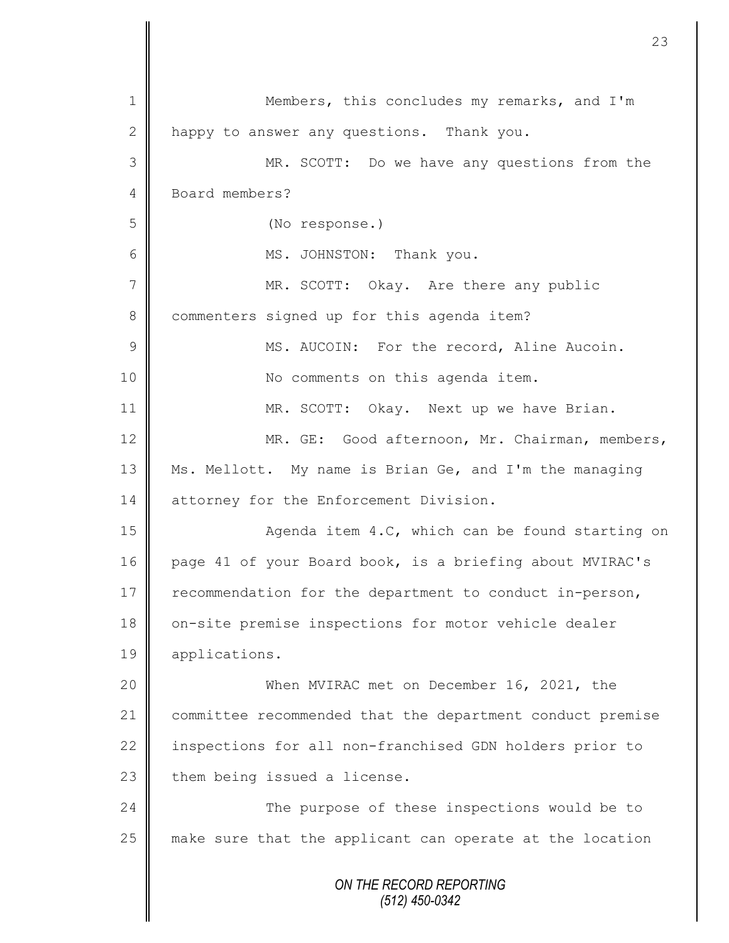|                 | 23                                                        |
|-----------------|-----------------------------------------------------------|
| 1               | Members, this concludes my remarks, and I'm               |
| 2               | happy to answer any questions. Thank you.                 |
| 3               | MR. SCOTT: Do we have any questions from the              |
| 4               | Board members?                                            |
| 5               | (No response.)                                            |
| 6               | MS. JOHNSTON: Thank you.                                  |
| $7\phantom{.0}$ | MR. SCOTT: Okay. Are there any public                     |
| 8               | commenters signed up for this agenda item?                |
| $\overline{9}$  | MS. AUCOIN: For the record, Aline Aucoin.                 |
| 10              | No comments on this agenda item.                          |
| 11              | MR. SCOTT: Okay. Next up we have Brian.                   |
| 12              | MR. GE: Good afternoon, Mr. Chairman, members,            |
| 13              | Ms. Mellott. My name is Brian Ge, and I'm the managing    |
| 14              | attorney for the Enforcement Division.                    |
| 15              | Agenda item 4.C, which can be found starting on           |
| 16              | page 41 of your Board book, is a briefing about MVIRAC's  |
| 17              | recommendation for the department to conduct in-person,   |
| 18              | on-site premise inspections for motor vehicle dealer      |
| 19              | applications.                                             |
| 20              | When MVIRAC met on December 16, 2021, the                 |
| 21              | committee recommended that the department conduct premise |
| 22              | inspections for all non-franchised GDN holders prior to   |
| 23              | them being issued a license.                              |
| 24              | The purpose of these inspections would be to              |
| 25              | make sure that the applicant can operate at the location  |
|                 | ON THE RECORD REPORTING                                   |

 $\mathbf l$ 

 $\mathbf \mathsf I$ 

*(512) 450-0342*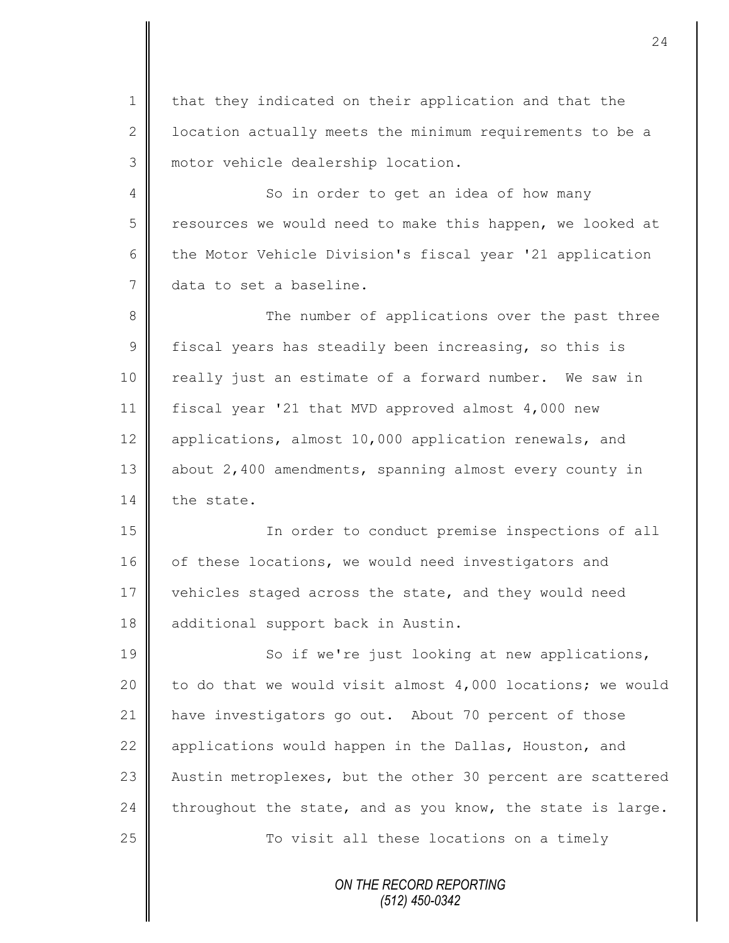1 | that they indicated on their application and that the 2 | location actually meets the minimum requirements to be a 3 | motor vehicle dealership location.

4 So in order to get an idea of how many 5 | resources we would need to make this happen, we looked at 6 the Motor Vehicle Division's fiscal year '21 application 7 data to set a baseline.

8 || The number of applications over the past three 9 fiscal years has steadily been increasing, so this is 10 || really just an estimate of a forward number. We saw in 11 fiscal year '21 that MVD approved almost 4,000 new 12 applications, almost 10,000 application renewals, and 13 about 2,400 amendments, spanning almost every county in 14 the state.

15 In order to conduct premise inspections of all 16 of these locations, we would need investigators and 17 vehicles staged across the state, and they would need 18 additional support back in Austin.

19 || So if we're just looking at new applications, 20  $\parallel$  to do that we would visit almost 4,000 locations; we would 21 | have investigators go out. About 70 percent of those 22 | applications would happen in the Dallas, Houston, and 23 Austin metroplexes, but the other 30 percent are scattered 24 throughout the state, and as you know, the state is large. 25 | To visit all these locations on a timely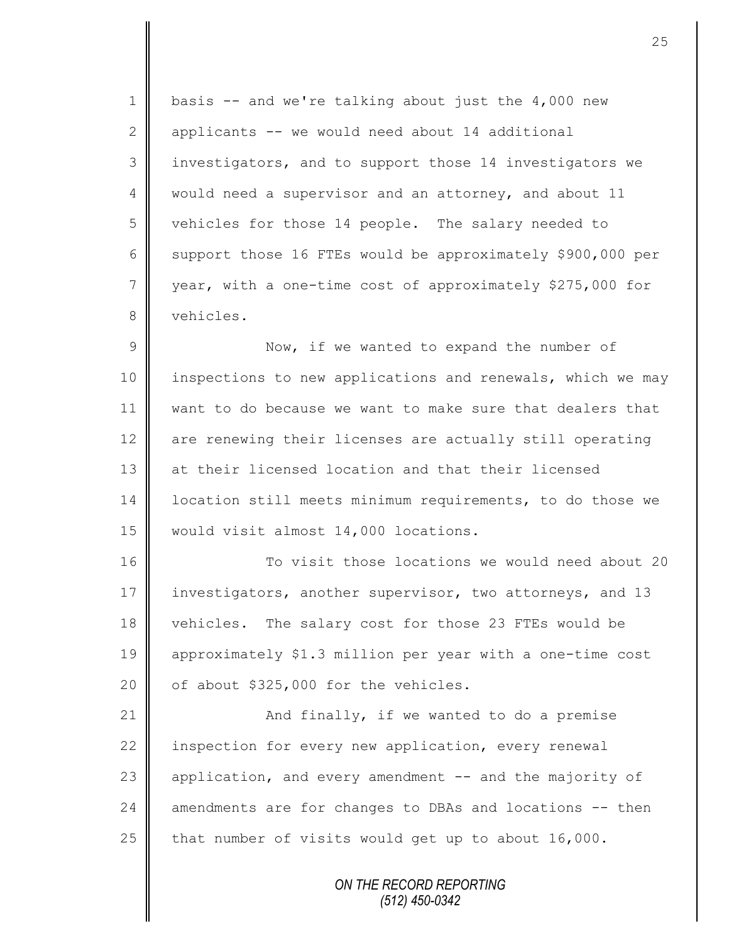1 | basis  $-$  and we're talking about just the 4,000 new 2  $\parallel$  applicants -- we would need about 14 additional 3 || investigators, and to support those 14 investigators we 4 | would need a supervisor and an attorney, and about 11 5 vehicles for those 14 people. The salary needed to 6 support those 16 FTEs would be approximately \$900,000 per 7 year, with a one-time cost of approximately \$275,000 for 8 vehicles.

9 || Now, if we wanted to expand the number of 10 | inspections to new applications and renewals, which we may 11 want to do because we want to make sure that dealers that 12 are renewing their licenses are actually still operating 13 at their licensed location and that their licensed 14 | location still meets minimum requirements, to do those we 15 | would visit almost 14,000 locations.

16  $\parallel$  To visit those locations we would need about 20 17 investigators, another supervisor, two attorneys, and 13 18 vehicles. The salary cost for those 23 FTEs would be 19 approximately \$1.3 million per year with a one-time cost 20  $\parallel$  of about \$325,000 for the vehicles.

21  $\parallel$  and finally, if we wanted to do a premise 22 | inspection for every new application, every renewal 23 application, and every amendment -- and the majority of  $24$  amendments are for changes to DBAs and locations  $-$ - then 25 that number of visits would get up to about  $16,000$ .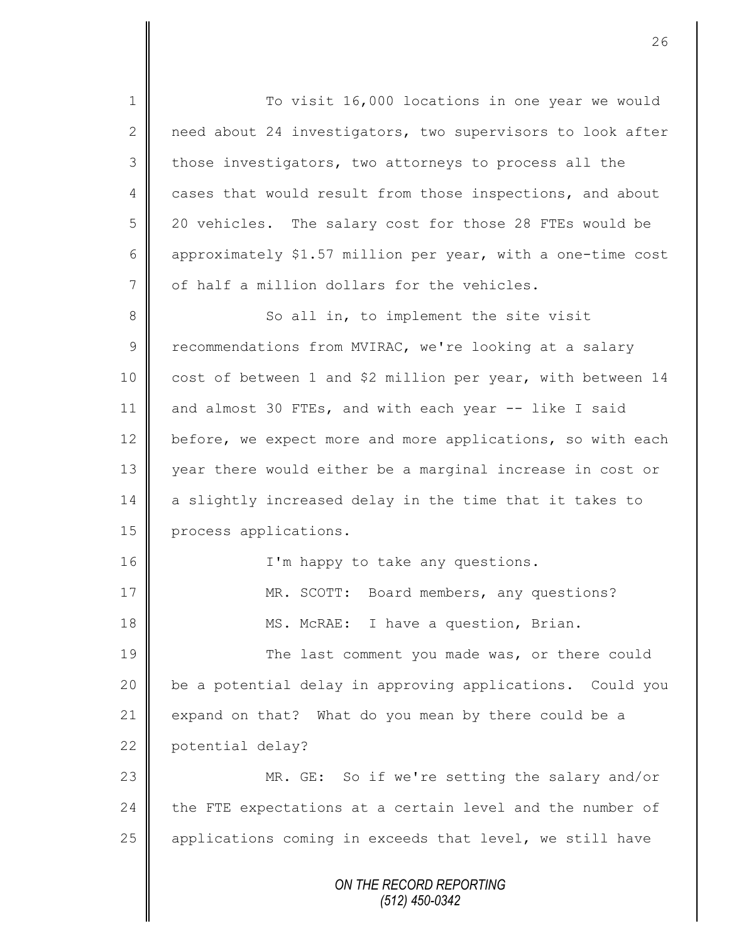1 To visit 16,000 locations in one year we would 2 need about 24 investigators, two supervisors to look after 3 those investigators, two attorneys to process all the 4 cases that would result from those inspections, and about 5 20 vehicles. The salary cost for those 28 FTEs would be 6 approximately \$1.57 million per year, with a one-time cost  $7 \parallel$  of half a million dollars for the vehicles. 8 So all in, to implement the site visit 9 Tecommendations from MVIRAC, we're looking at a salary 10 cost of between 1 and \$2 million per year, with between 14 11 and almost 30 FTEs, and with each year -- like I said 12 before, we expect more and more applications, so with each 13 year there would either be a marginal increase in cost or 14 a slightly increased delay in the time that it takes to 15 **process** applications. 16 || I'm happy to take any questions. 17 || MR. SCOTT: Board members, any questions? 18 || MS. McRAE: I have a question, Brian. 19 The last comment you made was, or there could 20 | be a potential delay in approving applications. Could you 21  $\parallel$  expand on that? What do you mean by there could be a 22 potential delay? 23 MR. GE: So if we're setting the salary and/or  $24$  the FTE expectations at a certain level and the number of  $25$  | applications coming in exceeds that level, we still have

> *ON THE RECORD REPORTING (512) 450-0342*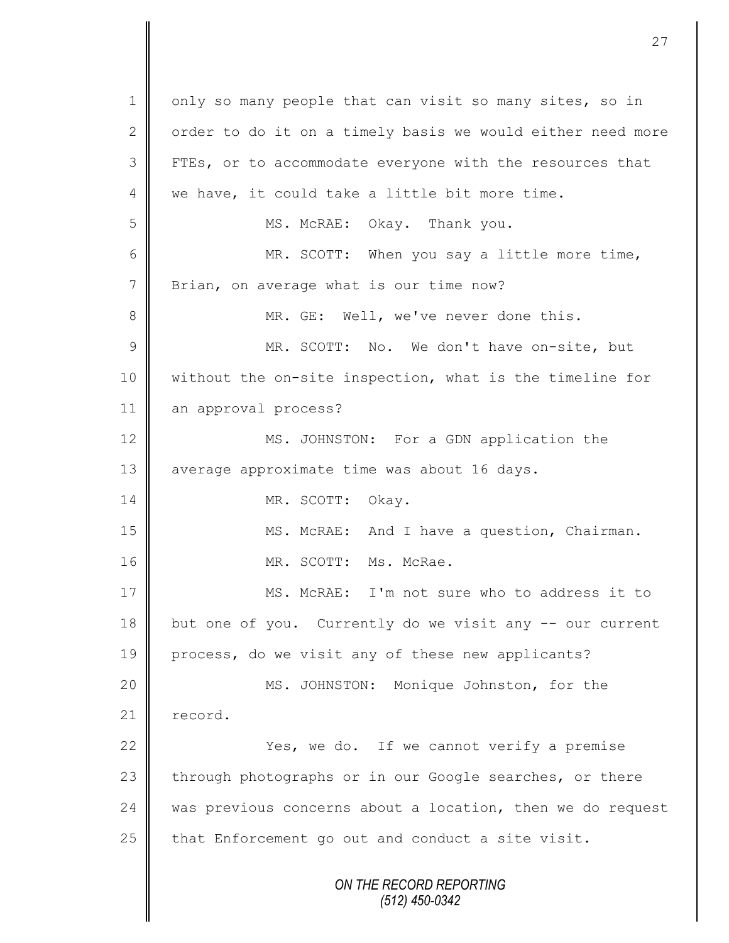*ON THE RECORD REPORTING (512) 450-0342* 1 || only so many people that can visit so many sites, so in 2 | order to do it on a timely basis we would either need more 3 FTEs, or to accommodate everyone with the resources that 4 we have, it could take a little bit more time. 5 MS. McRAE: Okay. Thank you. 6 MR. SCOTT: When you say a little more time, 7 | Brian, on average what is our time now? 8 || MR. GE: Well, we've never done this. 9 || MR. SCOTT: No. We don't have on-site, but 10 || without the on-site inspection, what is the timeline for 11 an approval process? 12 MS. JOHNSTON: For a GDN application the 13 | average approximate time was about 16 days. 14 || MR. SCOTT: Okay. 15 || MS. McRAE: And I have a question, Chairman. 16 | MR. SCOTT: Ms. McRae. 17 || MS. McRAE: I'm not sure who to address it to 18 but one of you. Currently do we visit any -- our current 19 process, do we visit any of these new applicants? 20 MS. JOHNSTON: Monique Johnston, for the 21 record. 22 | Yes, we do. If we cannot verify a premise 23 through photographs or in our Google searches, or there 24 | was previous concerns about a location, then we do request 25  $\parallel$  that Enforcement go out and conduct a site visit.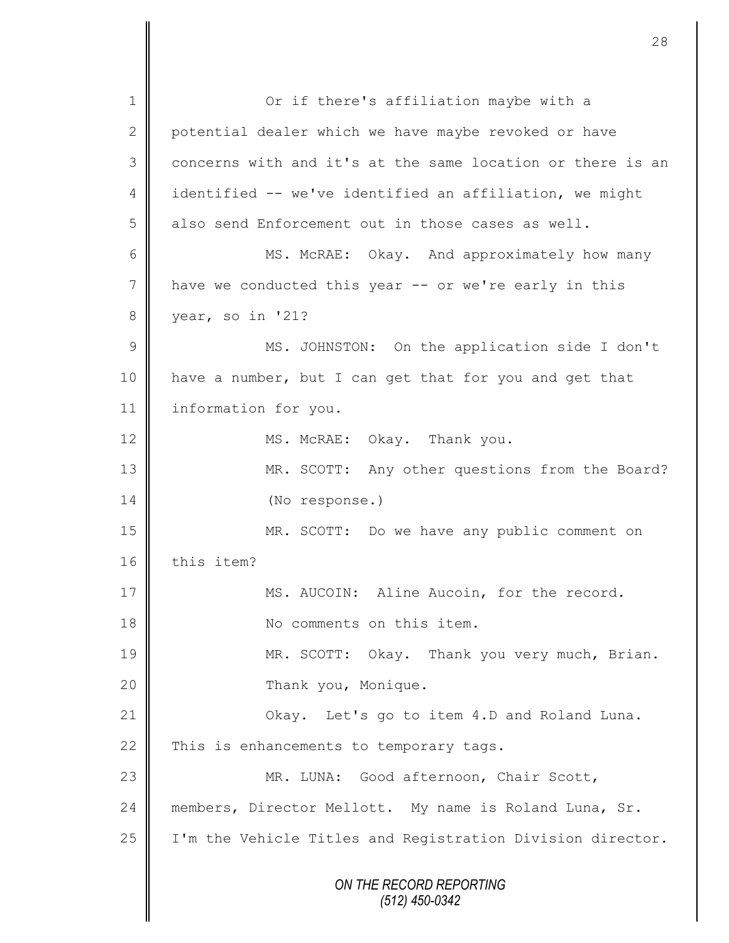*ON THE RECORD REPORTING (512) 450-0342* 1 || Or if there's affiliation maybe with a 2 potential dealer which we have maybe revoked or have 3 concerns with and it's at the same location or there is an 4 identified -- we've identified an affiliation, we might  $5 \parallel$  also send Enforcement out in those cases as well. 6 MS. McRAE: Okay. And approximately how many 7 have we conducted this year -- or we're early in this 8 year, so in '21? 9 || MS. JOHNSTON: On the application side I don't 10 have a number, but I can get that for you and get that 11 | information for you. 12 MS. McRAE: Okay. Thank you. 13 || MR. SCOTT: Any other questions from the Board? 14 (No response.) 15 MR. SCOTT: Do we have any public comment on 16 this item? 17 | MS. AUCOIN: Aline Aucoin, for the record. 18 || No comments on this item. 19 MR. SCOTT: Okay. Thank you very much, Brian. 20 | Thank you, Monique. 21 | Ckay. Let's go to item 4.D and Roland Luna. 22  $\parallel$  This is enhancements to temporary tags. 23 | MR. LUNA: Good afternoon, Chair Scott, 24 || members, Director Mellott. My name is Roland Luna, Sr. 25 | I'm the Vehicle Titles and Registration Division director.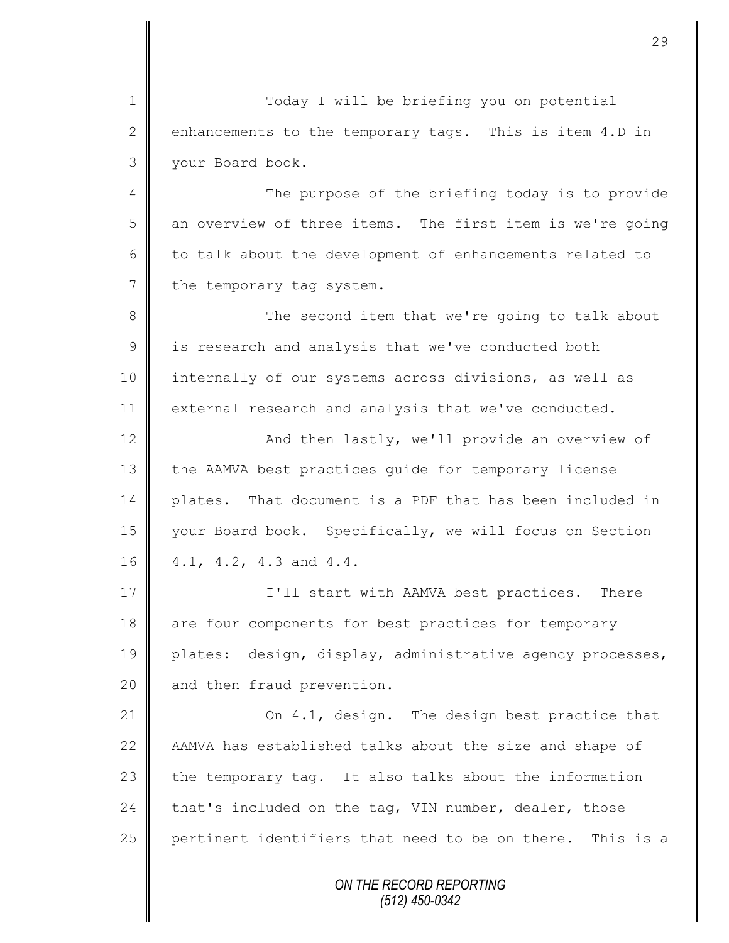1 Today I will be briefing you on potential 2 enhancements to the temporary tags. This is item 4.D in 3 your Board book.

4 || The purpose of the briefing today is to provide 5 an overview of three items. The first item is we're going  $6 \parallel$  to talk about the development of enhancements related to  $7 \parallel$  the temporary tag system.

8 The second item that we're going to talk about  $9 \parallel$  is research and analysis that we've conducted both 10 | internally of our systems across divisions, as well as 11 external research and analysis that we've conducted.

12 | And then lastly, we'll provide an overview of 13 the AAMVA best practices quide for temporary license 14 plates. That document is a PDF that has been included in 15 | your Board book. Specifically, we will focus on Section 16 | 4.1, 4.2, 4.3 and 4.4.

17 **I'll start with AAMVA best practices.** There 18 are four components for best practices for temporary 19 plates: design, display, administrative agency processes, 20  $\parallel$  and then fraud prevention.

21 **On 4.1, design.** The design best practice that 22 AAMVA has established talks about the size and shape of 23  $\parallel$  the temporary tag. It also talks about the information 24  $\parallel$  that's included on the tag, VIN number, dealer, those 25 pertinent identifiers that need to be on there. This is a

> *ON THE RECORD REPORTING (512) 450-0342*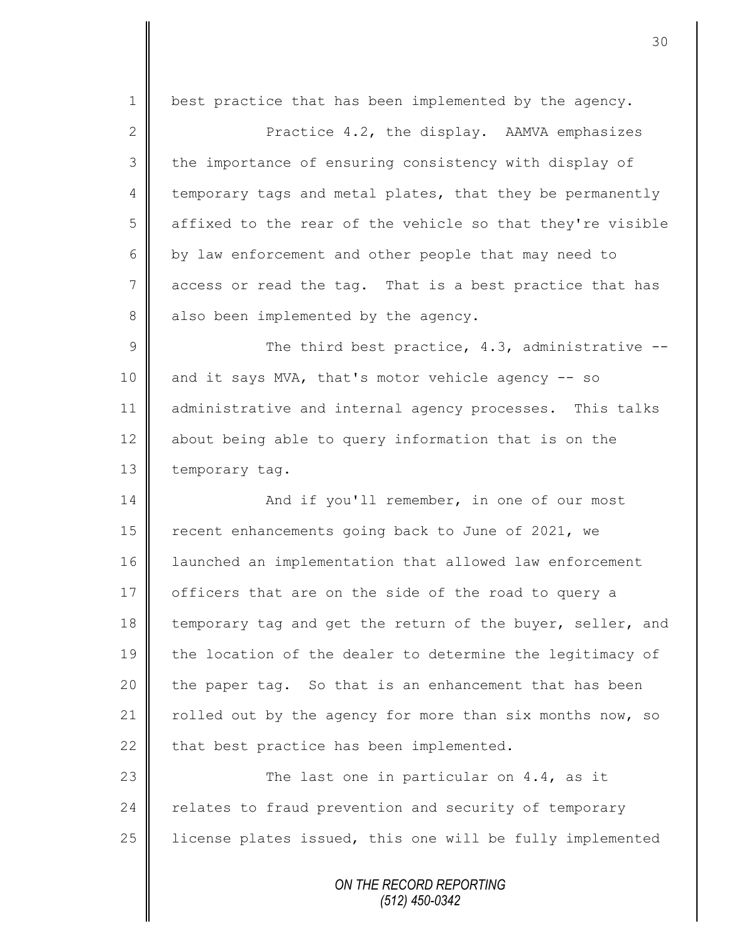1 | best practice that has been implemented by the agency. 2 || Practice 4.2, the display. AAMVA emphasizes 3 the importance of ensuring consistency with display of  $4 \parallel$  temporary tags and metal plates, that they be permanently 5 affixed to the rear of the vehicle so that they're visible 6 by law enforcement and other people that may need to 7 access or read the tag. That is a best practice that has  $8 \parallel$  also been implemented by the agency.  $9 \parallel$  The third best practice, 4.3, administrative  $-$ 10 and it says MVA, that's motor vehicle agency -- so 11 | administrative and internal agency processes. This talks 12 about being able to query information that is on the 13 temporary tag. 14 || And if you'll remember, in one of our most 15 | recent enhancements going back to June of 2021, we 16 launched an implementation that allowed law enforcement 17 | officers that are on the side of the road to query a 18 temporary tag and get the return of the buyer, seller, and 19 the location of the dealer to determine the legitimacy of 20 the paper tag. So that is an enhancement that has been 21 | rolled out by the agency for more than six months now, so 22  $\parallel$  that best practice has been implemented. 23 | The last one in particular on 4.4, as it 24 relates to fraud prevention and security of temporary  $25$  | license plates issued, this one will be fully implemented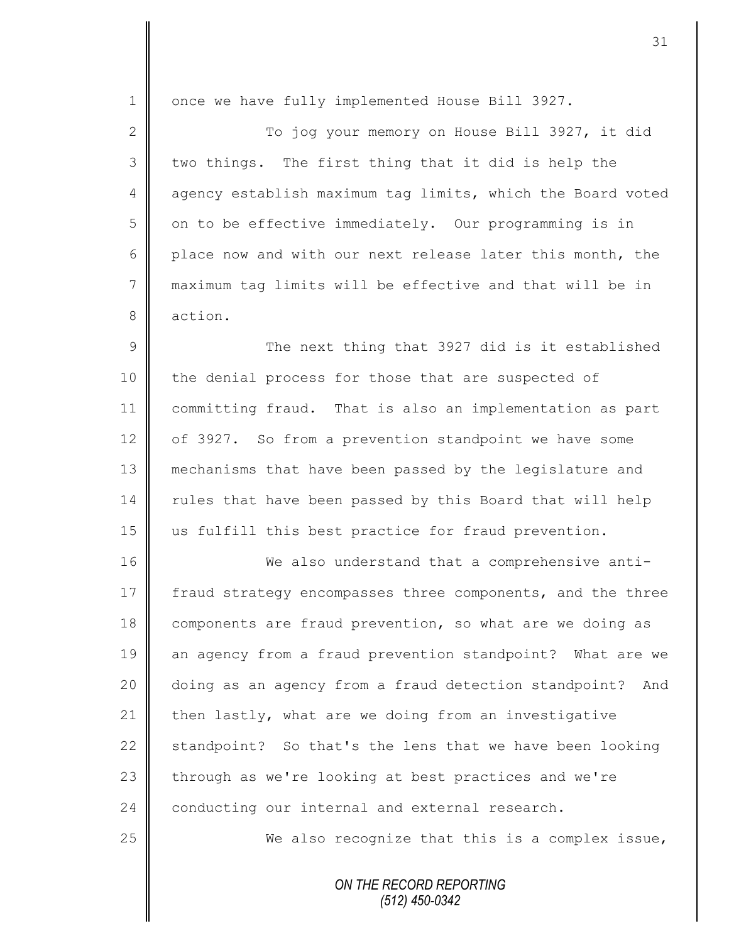1 | once we have fully implemented House Bill 3927. 2 || To jog your memory on House Bill 3927, it did  $3 \parallel$  two things. The first thing that it did is help the 4 agency establish maximum tag limits, which the Board voted  $5 \parallel$  on to be effective immediately. Our programming is in 6 place now and with our next release later this month, the 7 maximum tag limits will be effective and that will be in 8 action. 9 || The next thing that 3927 did is it established 10 the denial process for those that are suspected of 11 committing fraud. That is also an implementation as part 12 of 3927. So from a prevention standpoint we have some 13 mechanisms that have been passed by the legislature and 14 | rules that have been passed by this Board that will help 15 us fulfill this best practice for fraud prevention. 16 We also understand that a comprehensive anti-17 fraud strategy encompasses three components, and the three 18 components are fraud prevention, so what are we doing as 19 an agency from a fraud prevention standpoint? What are we 20 | doing as an agency from a fraud detection standpoint? And 21  $\parallel$  then lastly, what are we doing from an investigative 22 standpoint? So that's the lens that we have been looking 23 through as we're looking at best practices and we're 24 conducting our internal and external research. 25 We also recognize that this is a complex issue,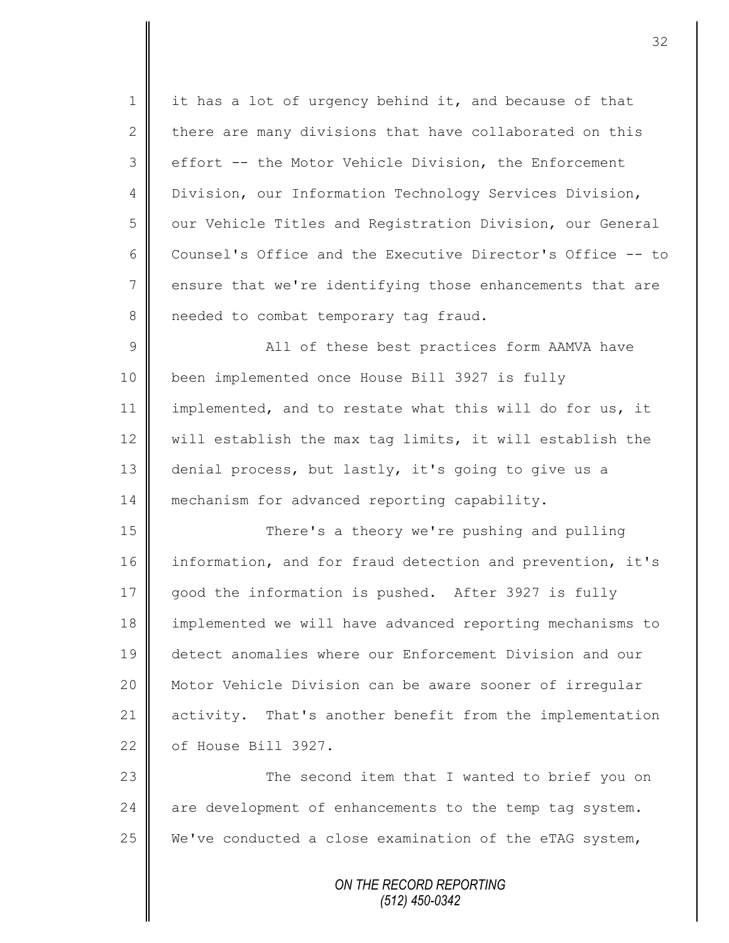1 | it has a lot of urgency behind it, and because of that 2  $\parallel$  there are many divisions that have collaborated on this 3 effort -- the Motor Vehicle Division, the Enforcement 4 | Division, our Information Technology Services Division, 5 | our Vehicle Titles and Registration Division, our General 6 Counsel's Office and the Executive Director's Office -- to  $7 \parallel$  ensure that we're identifying those enhancements that are 8 needed to combat temporary tag fraud. 9 || All of these best practices form AAMVA have 10 been implemented once House Bill 3927 is fully 11 | implemented, and to restate what this will do for us, it 12  $\parallel$  will establish the max tag limits, it will establish the 13 denial process, but lastly, it's going to give us a 14 mechanism for advanced reporting capability. 15 There's a theory we're pushing and pulling 16 information, and for fraud detection and prevention, it's 17 good the information is pushed. After 3927 is fully 18 | implemented we will have advanced reporting mechanisms to 19 detect anomalies where our Enforcement Division and our 20 Motor Vehicle Division can be aware sooner of irregular 21 activity. That's another benefit from the implementation 22 | of House Bill 3927. 23 || The second item that I wanted to brief you on  $24$  are development of enhancements to the temp tag system. 25  $\parallel$  We've conducted a close examination of the eTAG system,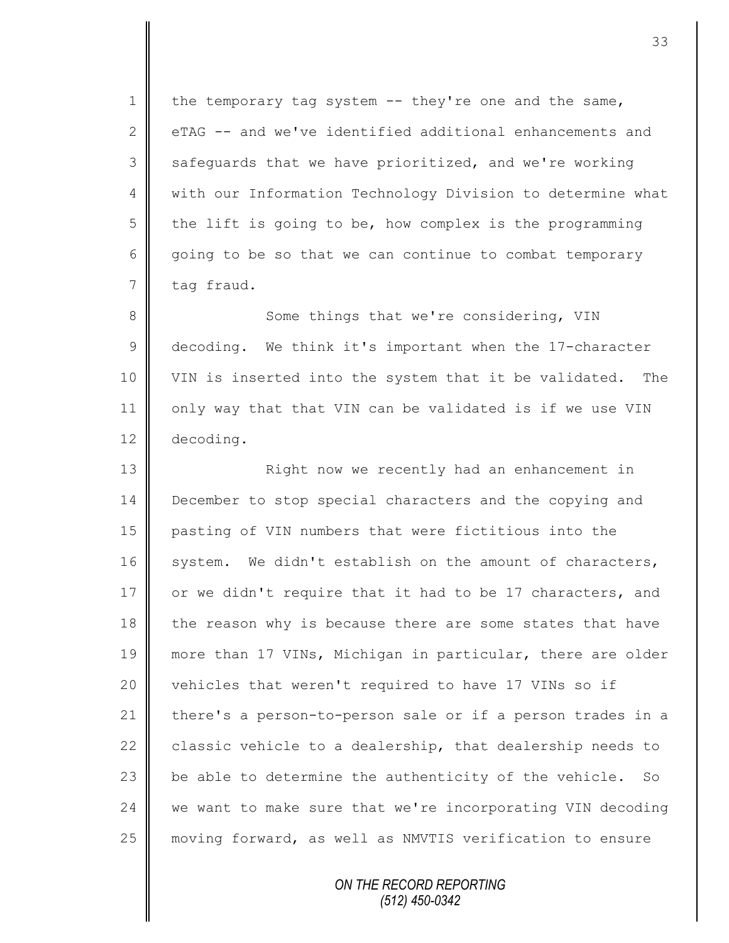1 the temporary tag system  $-$  they're one and the same, 2 eTAG -- and we've identified additional enhancements and 3 safeguards that we have prioritized, and we're working 4 | with our Information Technology Division to determine what  $5 \parallel$  the lift is going to be, how complex is the programming 6 going to be so that we can continue to combat temporary  $7 \parallel$  tag fraud.

8 Some things that we're considering, VIN 9 decoding. We think it's important when the 17-character 10 VIN is inserted into the system that it be validated. The 11 | only way that that VIN can be validated is if we use VIN 12 decoding.

13 | Right now we recently had an enhancement in 14 December to stop special characters and the copying and 15 pasting of VIN numbers that were fictitious into the 16 system. We didn't establish on the amount of characters, 17  $\parallel$  or we didn't require that it had to be 17 characters, and 18 the reason why is because there are some states that have 19 more than 17 VINs, Michigan in particular, there are older 20 vehicles that weren't required to have 17 VINs so if 21 there's a person-to-person sale or if a person trades in a 22  $\parallel$  classic vehicle to a dealership, that dealership needs to 23  $\parallel$  be able to determine the authenticity of the vehicle. So 24 we want to make sure that we're incorporating VIN decoding 25 moving forward, as well as NMVTIS verification to ensure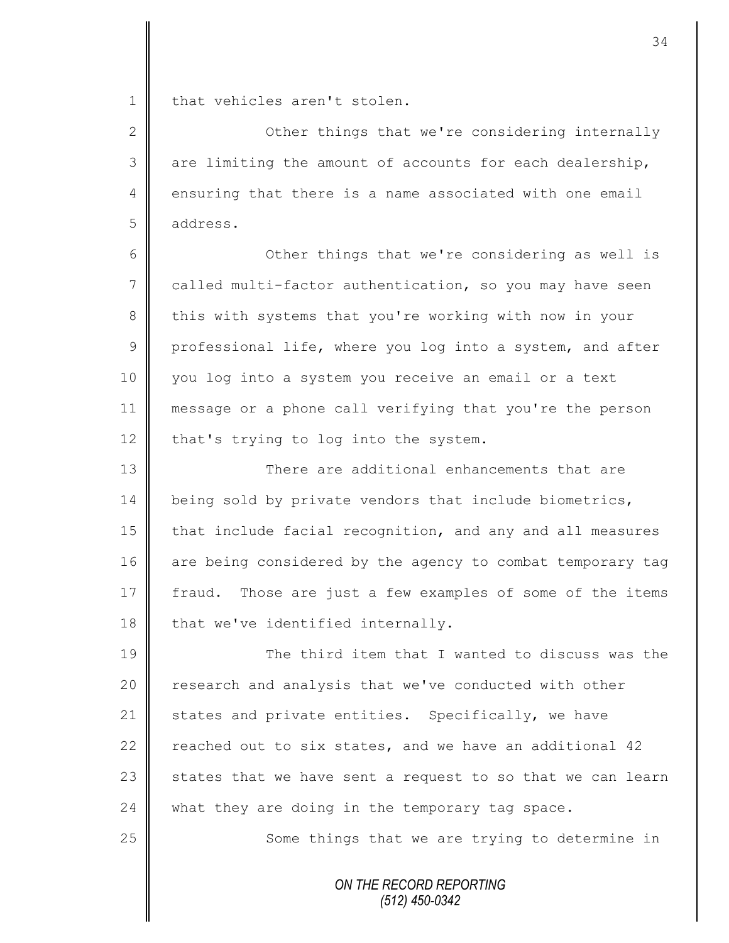1 | that vehicles aren't stolen.

2 **C** Other things that we're considering internally  $3 \parallel$  are limiting the amount of accounts for each dealership, 4 ensuring that there is a name associated with one email 5 address.

6 Other things that we're considering as well is 7 called multi-factor authentication, so you may have seen 8 this with systems that you're working with now in your 9 professional life, where you log into a system, and after 10 you log into a system you receive an email or a text 11 message or a phone call verifying that you're the person 12  $\parallel$  that's trying to log into the system.

13 **There** are additional enhancements that are 14 being sold by private vendors that include biometrics, 15 that include facial recognition, and any and all measures 16 are being considered by the agency to combat temporary tag 17 fraud. Those are just a few examples of some of the items  $18$  that we've identified internally.

**The third item that I wanted to discuss was the** 20 | research and analysis that we've conducted with other 21 States and private entities. Specifically, we have  $\parallel$  reached out to six states, and we have an additional 42  $\parallel$  states that we have sent a request to so that we can learn  $\parallel$  what they are doing in the temporary tag space.

25 || Some things that we are trying to determine in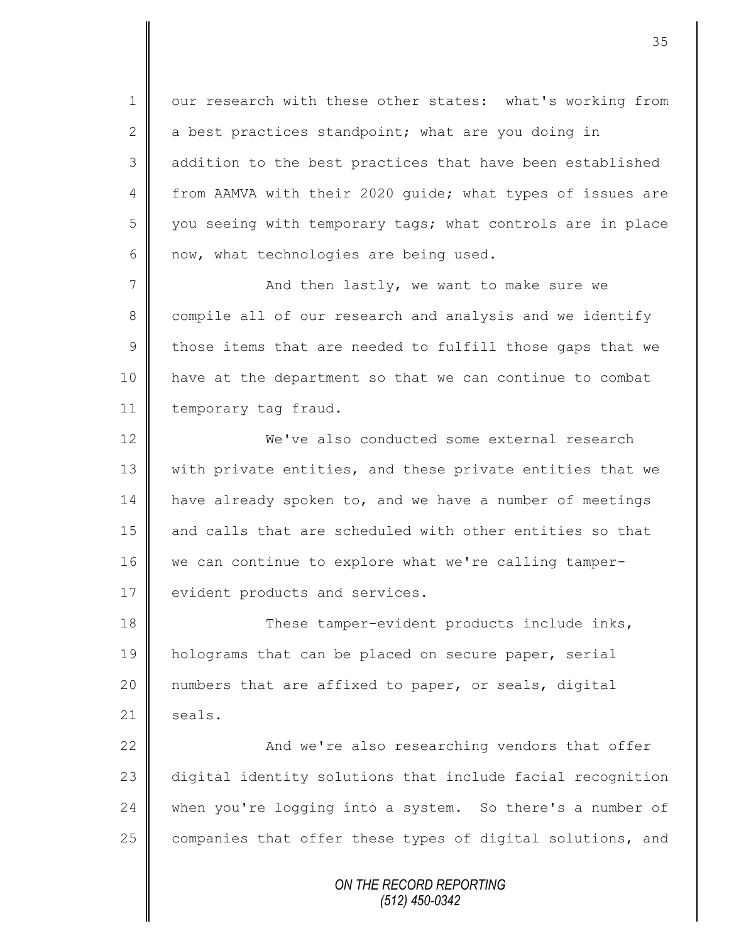1 || our research with these other states: what's working from 2 a best practices standpoint; what are you doing in 3 addition to the best practices that have been established 4 from AAMVA with their 2020 quide; what types of issues are 5 || you seeing with temporary tags; what controls are in place  $6 \parallel$  now, what technologies are being used.

7 And then lastly, we want to make sure we 8 compile all of our research and analysis and we identify  $9 \parallel$  those items that are needed to fulfill those gaps that we 10 have at the department so that we can continue to combat 11 | temporary tag fraud.

12 We've also conducted some external research 13 | with private entities, and these private entities that we 14 | have already spoken to, and we have a number of meetings  $15$  and calls that are scheduled with other entities so that 16 we can continue to explore what we're calling tamper-17 | evident products and services.

18 These tamper-evident products include inks, 19 | holograms that can be placed on secure paper, serial 20 || numbers that are affixed to paper, or seals, digital  $21$  | seals.

 $\parallel$  22  $\parallel$  and we're also researching vendors that offer digital identity solutions that include facial recognition 24 when you're logging into a system. So there's a number of  $\parallel$  companies that offer these types of digital solutions, and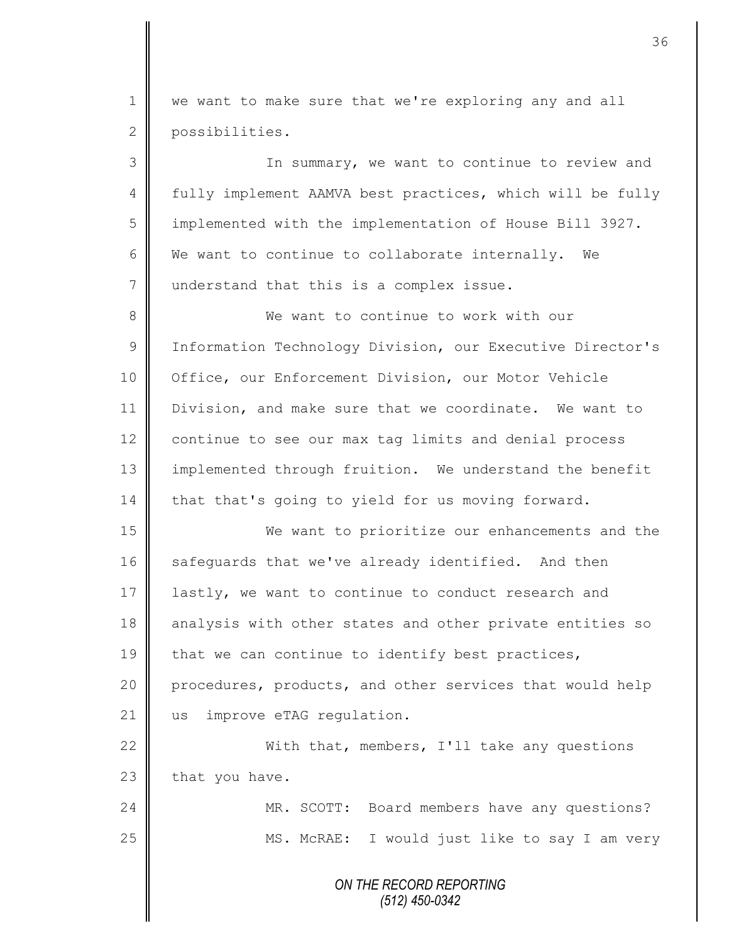1 we want to make sure that we're exploring any and all 2 possibilities.

3 || In summary, we want to continue to review and 4 fully implement AAMVA best practices, which will be fully 5 implemented with the implementation of House Bill 3927.  $6 \parallel$  We want to continue to collaborate internally. We 7 understand that this is a complex issue. 8 We want to continue to work with our 9 | Information Technology Division, our Executive Director's 10 | Office, our Enforcement Division, our Motor Vehicle 11 Division, and make sure that we coordinate. We want to 12 continue to see our max tag limits and denial process 13 || implemented through fruition. We understand the benefit 14 that that's going to yield for us moving forward. 15 We want to prioritize our enhancements and the 16 safequards that we've already identified. And then 17 | lastly, we want to continue to conduct research and 18 analysis with other states and other private entities so 19  $\parallel$  that we can continue to identify best practices, 20 procedures, products, and other services that would help 21 us improve eTAG requiation. 22 With that, members, I'll take any questions  $23$  that you have.

24 | MR. SCOTT: Board members have any questions? 25 || MS. McRAE: I would just like to say I am very

> *ON THE RECORD REPORTING (512) 450-0342*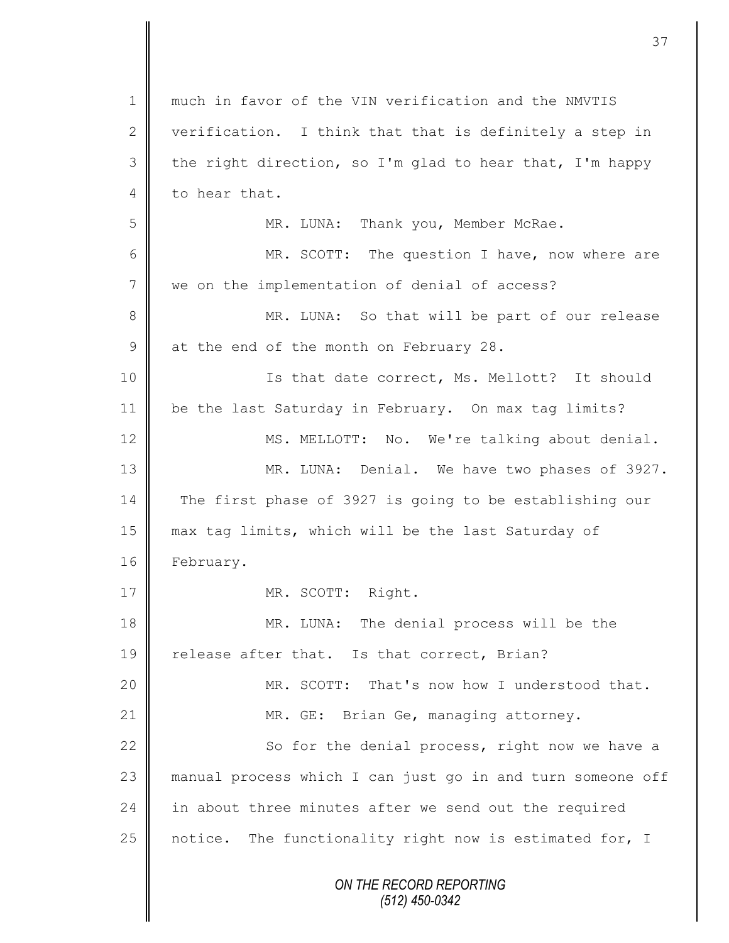| 1            | much in favor of the VIN verification and the NMVTIS       |
|--------------|------------------------------------------------------------|
| $\mathbf{2}$ | verification. I think that that is definitely a step in    |
| 3            | the right direction, so I'm glad to hear that, I'm happy   |
| 4            | to hear that.                                              |
| 5            | MR. LUNA: Thank you, Member McRae.                         |
| 6            | MR. SCOTT: The question I have, now where are              |
| 7            | we on the implementation of denial of access?              |
| 8            | MR. LUNA: So that will be part of our release              |
| $\mathsf 9$  | at the end of the month on February 28.                    |
| 10           | Is that date correct, Ms. Mellott? It should               |
| 11           | be the last Saturday in February. On max tag limits?       |
| 12           | MS. MELLOTT: No. We're talking about denial.               |
| 13           | MR. LUNA: Denial. We have two phases of 3927.              |
| 14           | The first phase of 3927 is going to be establishing our    |
| 15           | max tag limits, which will be the last Saturday of         |
| 16           | February.                                                  |
| 17           | MR. SCOTT: Right.                                          |
| 18           | MR. LUNA: The denial process will be the                   |
| 19           | release after that. Is that correct, Brian?                |
| 20           | MR. SCOTT: That's now how I understood that.               |
| 21           | MR. GE: Brian Ge, managing attorney.                       |
| 22           | So for the denial process, right now we have a             |
| 23           | manual process which I can just go in and turn someone off |
| 24           | in about three minutes after we send out the required      |
| 25           | notice. The functionality right now is estimated for, I    |
|              | ON THE RECORD REPORTING<br>$(512)$ 450-0342                |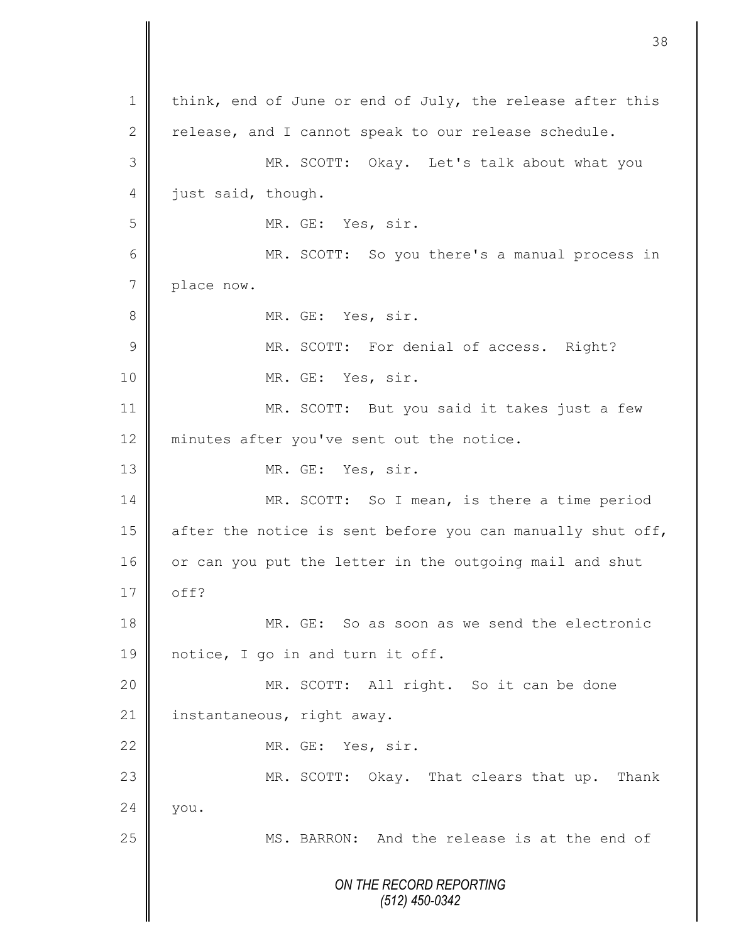*ON THE RECORD REPORTING (512) 450-0342* 1 | think, end of June or end of July, the release after this 2 release, and I cannot speak to our release schedule. 3 MR. SCOTT: Okay. Let's talk about what you 4 just said, though. 5 MR. GE: Yes, sir. 6 MR. SCOTT: So you there's a manual process in 7 place now. 8 || MR. GE: Yes, sir. 9 || MR. SCOTT: For denial of access. Right? 10 MR. GE: Yes, sir. 11 MR. SCOTT: But you said it takes just a few 12 minutes after you've sent out the notice. 13 NR. GE: Yes, sir. 14 MR. SCOTT: So I mean, is there a time period 15  $\parallel$  after the notice is sent before you can manually shut off, 16 or can you put the letter in the outgoing mail and shut  $17 \parallel$  off? 18 MR. GE: So as soon as we send the electronic 19 || notice, I go in and turn it off. 20 || MR. SCOTT: All right. So it can be done 21 | instantaneous, right away. 22 MR. GE: Yes, sir. 23 MR. SCOTT: Okay. That clears that up. Thank  $24 \parallel$  you. 25 MS. BARRON: And the release is at the end of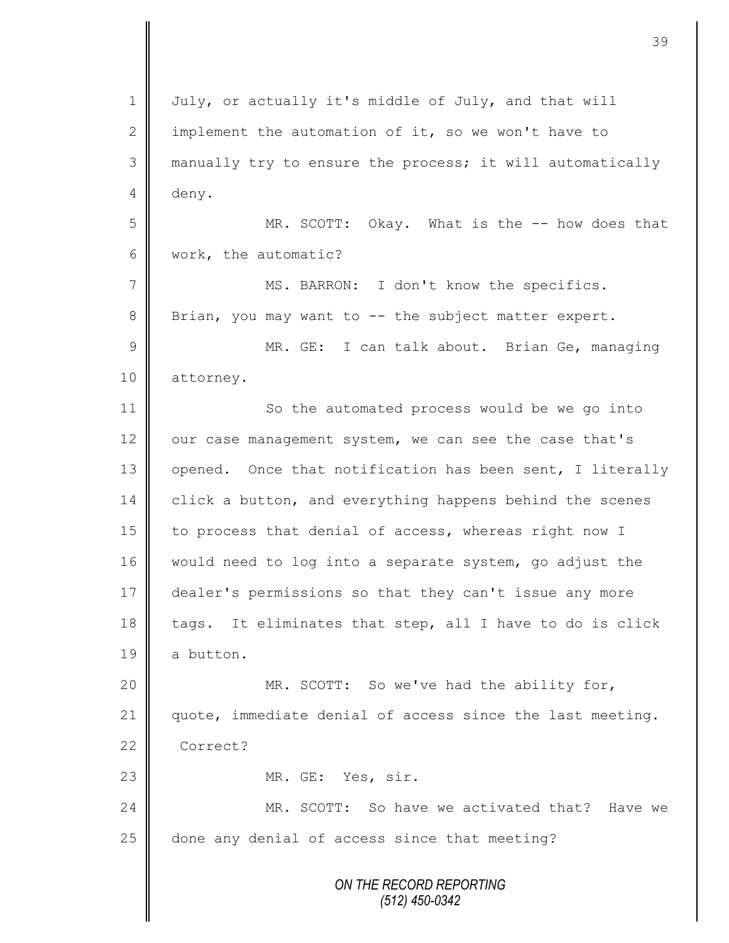*ON THE RECORD REPORTING (512) 450-0342* 1 | July, or actually it's middle of July, and that will 2  $\parallel$  implement the automation of it, so we won't have to 3 manually try to ensure the process; it will automatically 4 deny. 5 MR. SCOTT: Okay. What is the -- how does that 6 | work, the automatic? 7 || MS. BARRON: I don't know the specifics. 8 Brian, you may want to -- the subject matter expert. 9 || MR. GE: I can talk about. Brian Ge, managing 10 | attorney. 11 So the automated process would be we go into 12 our case management system, we can see the case that's 13 | opened. Once that notification has been sent, I literally 14 click a button, and everything happens behind the scenes 15 | to process that denial of access, whereas right now I 16 would need to log into a separate system, go adjust the 17 dealer's permissions so that they can't issue any more 18 tags. It eliminates that step, all I have to do is click 19 a button. 20 || MR. SCOTT: So we've had the ability for, 21 quote, immediate denial of access since the last meeting. 22 Correct? 23 NR. GE: Yes, sir. 24 MR. SCOTT: So have we activated that? Have we 25 done any denial of access since that meeting?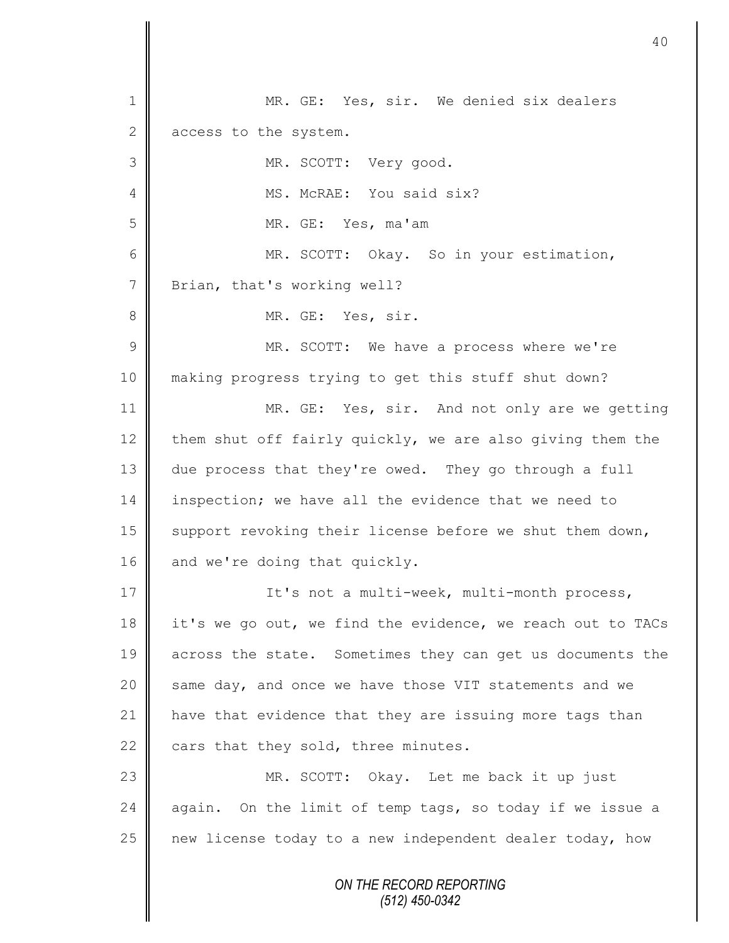*ON THE RECORD REPORTING (512) 450-0342* 1 || MR. GE: Yes, sir. We denied six dealers  $2 \parallel$  access to the system. 3 MR. SCOTT: Very good. 4 || MS. McRAE: You said six? 5 MR. GE: Yes, ma'am 6 MR. SCOTT: Okay. So in your estimation, 7 | Brian, that's working well? 8 || MR. GE: Yes, sir. 9 || MR. SCOTT: We have a process where we're 10 making progress trying to get this stuff shut down? 11 MR. GE: Yes, sir. And not only are we getting 12 them shut off fairly quickly, we are also giving them the 13 due process that they're owed. They go through a full 14 inspection; we have all the evidence that we need to 15 | support revoking their license before we shut them down, 16  $\parallel$  and we're doing that quickly. 17 | It's not a multi-week, multi-month process, 18 it's we go out, we find the evidence, we reach out to TACs 19 across the state. Sometimes they can get us documents the 20 | same day, and once we have those VIT statements and we 21 | have that evidence that they are issuing more tags than 22 cars that they sold, three minutes. 23 || MR. SCOTT: Okay. Let me back it up just 24 again. On the limit of temp tags, so today if we issue a 25  $\parallel$  new license today to a new independent dealer today, how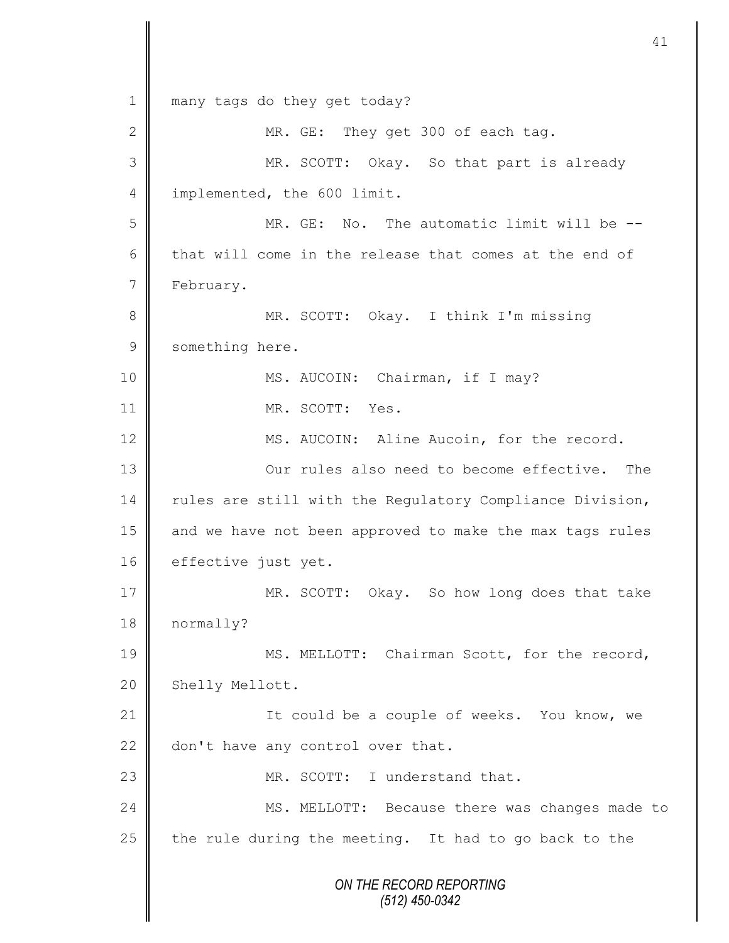*ON THE RECORD REPORTING (512) 450-0342* 1 || many tags do they get today? 2 MR. GE: They get 300 of each tag. 3 MR. SCOTT: Okay. So that part is already 4 | implemented, the 600 limit. 5 MR. GE: No. The automatic limit will be -- 6 that will come in the release that comes at the end of 7 | February. 8 MR. SCOTT: Okay. I think I'm missing 9 something here. 10 || MS. AUCOIN: Chairman, if I may? 11 MR. SCOTT: Yes. 12 MS. AUCOIN: Aline Aucoin, for the record. 13 **||** Our rules also need to become effective. The 14 Tules are still with the Regulatory Compliance Division, 15 || and we have not been approved to make the max tags rules 16 effective just yet. 17 MR. SCOTT: Okay. So how long does that take 18 normally? 19 || MS. MELLOTT: Chairman Scott, for the record, 20 Shelly Mellott. 21 | Could be a couple of weeks. You know, we 22  $\parallel$  don't have any control over that. 23 **MR. SCOTT:** I understand that. 24 MS. MELLOTT: Because there was changes made to 25  $\parallel$  the rule during the meeting. It had to go back to the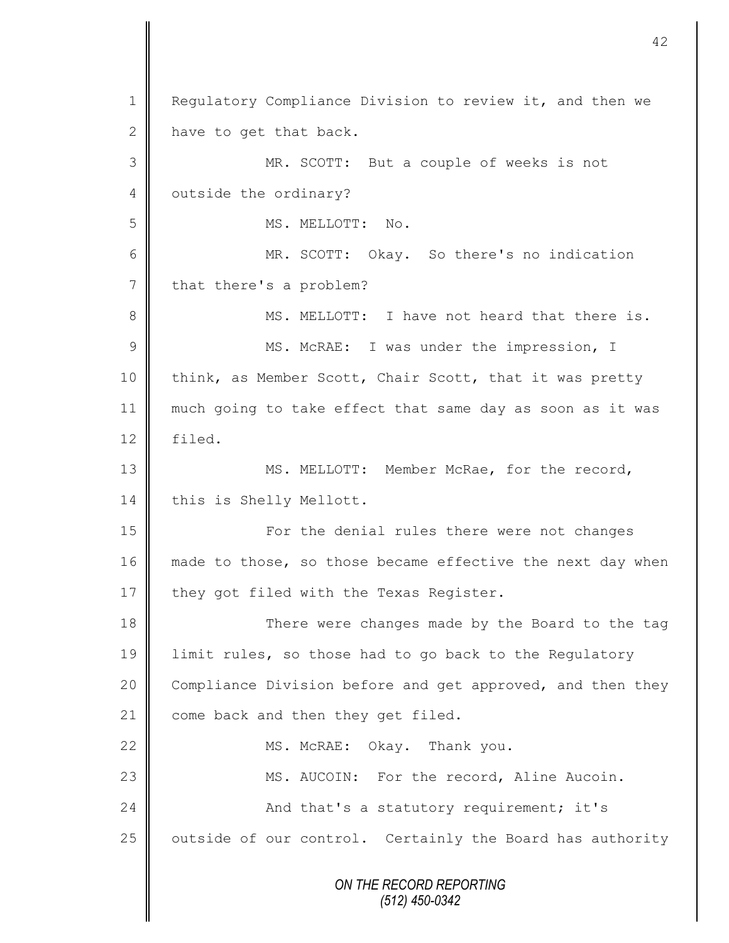*ON THE RECORD REPORTING (512) 450-0342* 1 Regulatory Compliance Division to review it, and then we 2  $\parallel$  have to get that back. 3 MR. SCOTT: But a couple of weeks is not 4 | outside the ordinary? 5 || MS. MELLOTT: No. 6 MR. SCOTT: Okay. So there's no indication 7 | that there's a problem? 8 MS. MELLOTT: I have not heard that there is. 9 || MS. McRAE: I was under the impression, I 10 | think, as Member Scott, Chair Scott, that it was pretty 11 much going to take effect that same day as soon as it was 12 filed. 13 || MS. MELLOTT: Member McRae, for the record, 14 this is Shelly Mellott. 15 | For the denial rules there were not changes 16 made to those, so those became effective the next day when 17  $\parallel$  they got filed with the Texas Register. 18 There were changes made by the Board to the tag 19 | limit rules, so those had to go back to the Regulatory 20 Compliance Division before and get approved, and then they 21 come back and then they get filed. 22 MS. McRAE: Okay. Thank you. 23 | MS. AUCOIN: For the record, Aline Aucoin. 24 And that's a statutory requirement; it's  $25$  | outside of our control. Certainly the Board has authority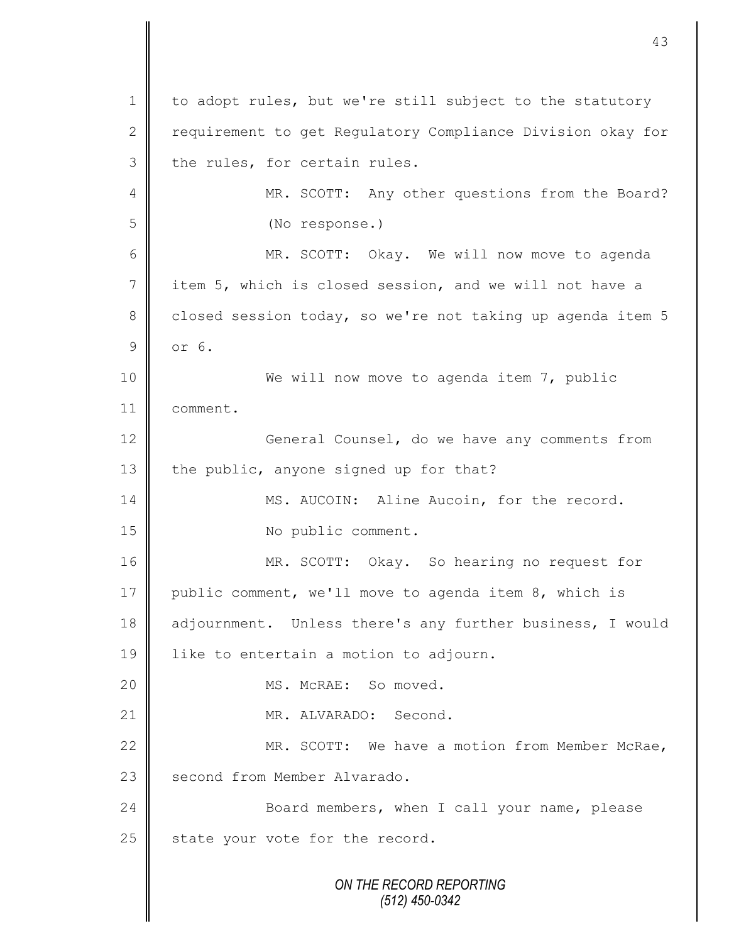*ON THE RECORD REPORTING (512) 450-0342* 1 to adopt rules, but we're still subject to the statutory 2 | requirement to get Regulatory Compliance Division okay for  $3$  the rules, for certain rules. 4 || MR. SCOTT: Any other questions from the Board? 5 (No response.) 6 MR. SCOTT: Okay. We will now move to agenda 7 item 5, which is closed session, and we will not have a 8 closed session today, so we're not taking up agenda item 5 9 or 6. 10 We will now move to agenda item 7, public 11 comment. 12 | General Counsel, do we have any comments from 13 the public, anyone signed up for that? 14 MS. AUCOIN: Aline Aucoin, for the record. 15 No public comment. 16 MR. SCOTT: Okay. So hearing no request for 17 public comment, we'll move to agenda item 8, which is 18 adjournment. Unless there's any further business, I would 19 | like to entertain a motion to adjourn. 20 || MS. McRAE: So moved. 21 | MR. ALVARADO: Second. 22 MR. SCOTT: We have a motion from Member McRae, 23 | second from Member Alvarado. 24 Board members, when I call your name, please  $25$  state your vote for the record.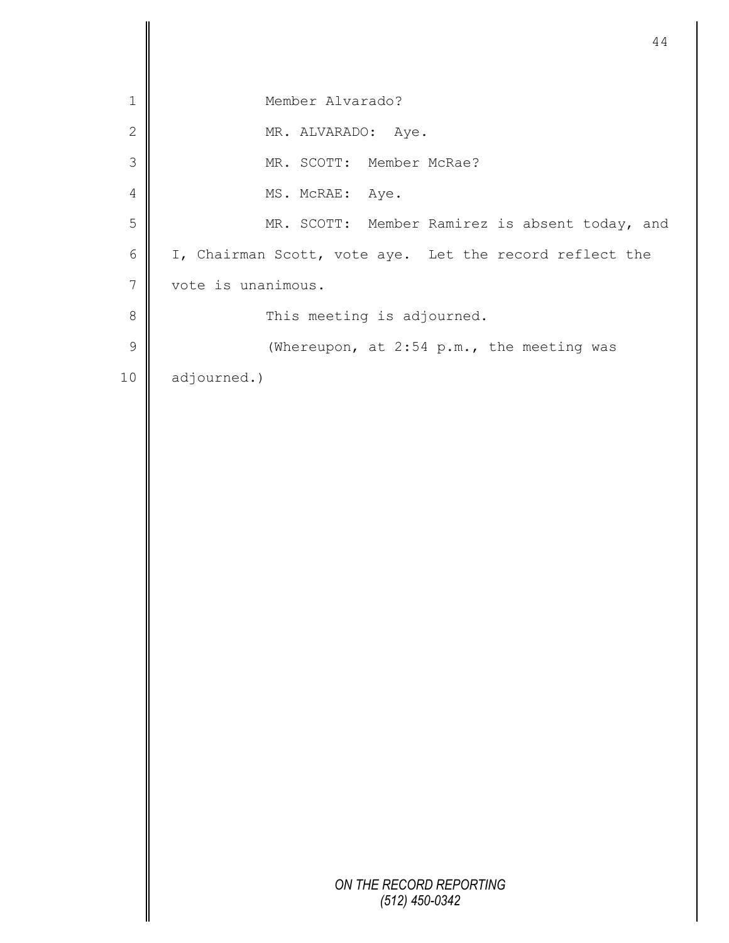|                | 44                                                      |
|----------------|---------------------------------------------------------|
|                |                                                         |
| $\mathbf 1$    | Member Alvarado?                                        |
| $\mathbf{2}$   | MR. ALVARADO: Aye.                                      |
| $\mathfrak{Z}$ | MR. SCOTT: Member McRae?                                |
| $\overline{4}$ | MS. McRAE: Aye.                                         |
| 5              | MR. SCOTT: Member Ramirez is absent today, and          |
| $\sqrt{6}$     | I, Chairman Scott, vote aye. Let the record reflect the |
| $7\phantom{.}$ | vote is unanimous.                                      |
| $\,8\,$        | This meeting is adjourned.                              |
| $\mathsf 9$    | (Whereupon, at 2:54 p.m., the meeting was               |
| 10             | adjourned.)                                             |
|                |                                                         |
|                |                                                         |
|                |                                                         |
|                |                                                         |
|                |                                                         |
|                |                                                         |
|                |                                                         |
|                |                                                         |
|                |                                                         |
|                |                                                         |
|                |                                                         |
|                |                                                         |
|                |                                                         |
|                |                                                         |
|                |                                                         |
|                |                                                         |
|                |                                                         |
|                | ON THE RECORD REPORTING<br>$(512)$ 450-0342             |
|                |                                                         |